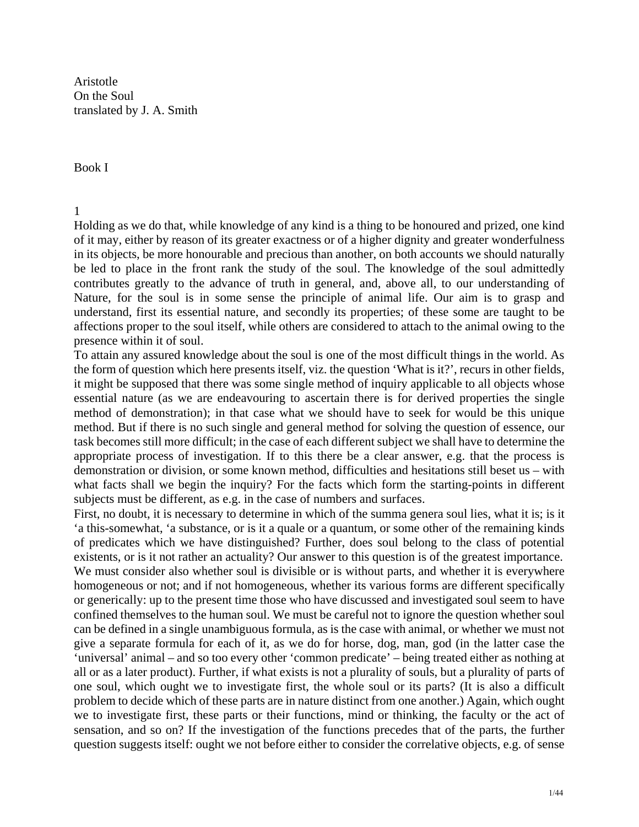Aristotle On the Soul translated by J. A. Smith

### Book I

### 1

Holding as we do that, while knowledge of any kind is a thing to be honoured and prized, one kind of it may, either by reason of its greater exactness or of a higher dignity and greater wonderfulness in its objects, be more honourable and precious than another, on both accounts we should naturally be led to place in the front rank the study of the soul. The knowledge of the soul admittedly contributes greatly to the advance of truth in general, and, above all, to our understanding of Nature, for the soul is in some sense the principle of animal life. Our aim is to grasp and understand, first its essential nature, and secondly its properties; of these some are taught to be affections proper to the soul itself, while others are considered to attach to the animal owing to the presence within it of soul.

To attain any assured knowledge about the soul is one of the most difficult things in the world. As the form of question which here presents itself, viz. the question 'What is it?', recurs in other fields, it might be supposed that there was some single method of inquiry applicable to all objects whose essential nature (as we are endeavouring to ascertain there is for derived properties the single method of demonstration); in that case what we should have to seek for would be this unique method. But if there is no such single and general method for solving the question of essence, our task becomes still more difficult; in the case of each different subject we shall have to determine the appropriate process of investigation. If to this there be a clear answer, e.g. that the process is demonstration or division, or some known method, difficulties and hesitations still beset us – with what facts shall we begin the inquiry? For the facts which form the starting-points in different subjects must be different, as e.g. in the case of numbers and surfaces.

First, no doubt, it is necessary to determine in which of the summa genera soul lies, what it is; is it 'a this-somewhat, 'a substance, or is it a quale or a quantum, or some other of the remaining kinds of predicates which we have distinguished? Further, does soul belong to the class of potential existents, or is it not rather an actuality? Our answer to this question is of the greatest importance. We must consider also whether soul is divisible or is without parts, and whether it is everywhere homogeneous or not; and if not homogeneous, whether its various forms are different specifically or generically: up to the present time those who have discussed and investigated soul seem to have confined themselves to the human soul. We must be careful not to ignore the question whether soul can be defined in a single unambiguous formula, as is the case with animal, or whether we must not give a separate formula for each of it, as we do for horse, dog, man, god (in the latter case the 'universal' animal – and so too every other 'common predicate' – being treated either as nothing at all or as a later product). Further, if what exists is not a plurality of souls, but a plurality of parts of one soul, which ought we to investigate first, the whole soul or its parts? (It is also a difficult problem to decide which of these parts are in nature distinct from one another.) Again, which ought we to investigate first, these parts or their functions, mind or thinking, the faculty or the act of sensation, and so on? If the investigation of the functions precedes that of the parts, the further question suggests itself: ought we not before either to consider the correlative objects, e.g. of sense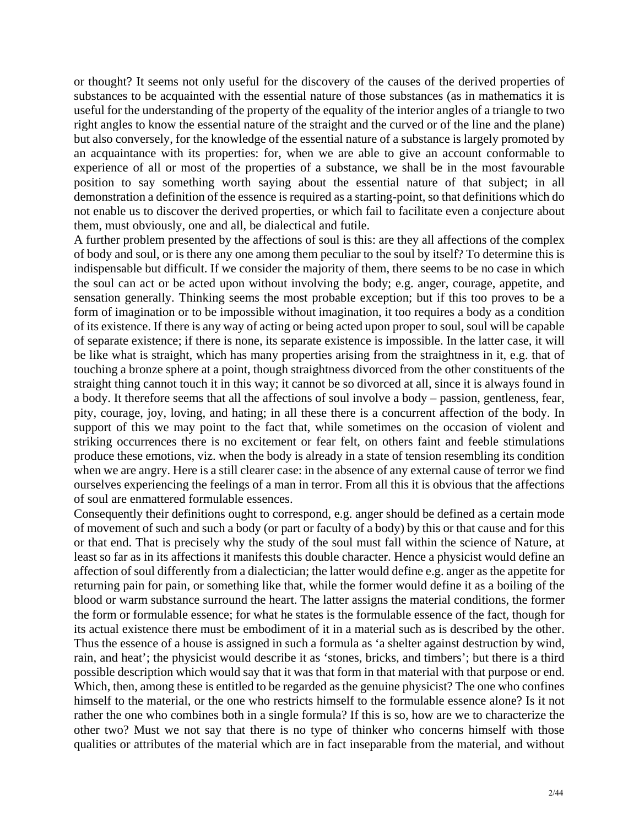or thought? It seems not only useful for the discovery of the causes of the derived properties of substances to be acquainted with the essential nature of those substances (as in mathematics it is useful for the understanding of the property of the equality of the interior angles of a triangle to two right angles to know the essential nature of the straight and the curved or of the line and the plane) but also conversely, for the knowledge of the essential nature of a substance is largely promoted by an acquaintance with its properties: for, when we are able to give an account conformable to experience of all or most of the properties of a substance, we shall be in the most favourable position to say something worth saying about the essential nature of that subject; in all demonstration a definition of the essence is required as a starting-point, so that definitions which do not enable us to discover the derived properties, or which fail to facilitate even a conjecture about them, must obviously, one and all, be dialectical and futile.

A further problem presented by the affections of soul is this: are they all affections of the complex of body and soul, or is there any one among them peculiar to the soul by itself? To determine this is indispensable but difficult. If we consider the majority of them, there seems to be no case in which the soul can act or be acted upon without involving the body; e.g. anger, courage, appetite, and sensation generally. Thinking seems the most probable exception; but if this too proves to be a form of imagination or to be impossible without imagination, it too requires a body as a condition of its existence. If there is any way of acting or being acted upon proper to soul, soul will be capable of separate existence; if there is none, its separate existence is impossible. In the latter case, it will be like what is straight, which has many properties arising from the straightness in it, e.g. that of touching a bronze sphere at a point, though straightness divorced from the other constituents of the straight thing cannot touch it in this way; it cannot be so divorced at all, since it is always found in a body. It therefore seems that all the affections of soul involve a body – passion, gentleness, fear, pity, courage, joy, loving, and hating; in all these there is a concurrent affection of the body. In support of this we may point to the fact that, while sometimes on the occasion of violent and striking occurrences there is no excitement or fear felt, on others faint and feeble stimulations produce these emotions, viz. when the body is already in a state of tension resembling its condition when we are angry. Here is a still clearer case: in the absence of any external cause of terror we find ourselves experiencing the feelings of a man in terror. From all this it is obvious that the affections of soul are enmattered formulable essences.

Consequently their definitions ought to correspond, e.g. anger should be defined as a certain mode of movement of such and such a body (or part or faculty of a body) by this or that cause and for this or that end. That is precisely why the study of the soul must fall within the science of Nature, at least so far as in its affections it manifests this double character. Hence a physicist would define an affection of soul differently from a dialectician; the latter would define e.g. anger as the appetite for returning pain for pain, or something like that, while the former would define it as a boiling of the blood or warm substance surround the heart. The latter assigns the material conditions, the former the form or formulable essence; for what he states is the formulable essence of the fact, though for its actual existence there must be embodiment of it in a material such as is described by the other. Thus the essence of a house is assigned in such a formula as 'a shelter against destruction by wind, rain, and heat'; the physicist would describe it as 'stones, bricks, and timbers'; but there is a third possible description which would say that it was that form in that material with that purpose or end. Which, then, among these is entitled to be regarded as the genuine physicist? The one who confines himself to the material, or the one who restricts himself to the formulable essence alone? Is it not rather the one who combines both in a single formula? If this is so, how are we to characterize the other two? Must we not say that there is no type of thinker who concerns himself with those qualities or attributes of the material which are in fact inseparable from the material, and without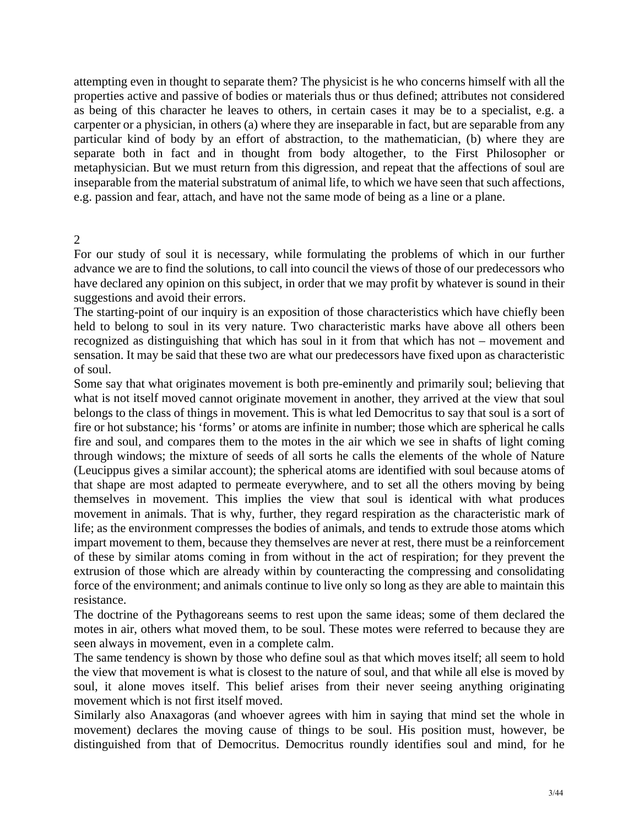attempting even in thought to separate them? The physicist is he who concerns himself with all the properties active and passive of bodies or materials thus or thus defined; attributes not considered as being of this character he leaves to others, in certain cases it may be to a specialist, e.g. a carpenter or a physician, in others (a) where they are inseparable in fact, but are separable from any particular kind of body by an effort of abstraction, to the mathematician, (b) where they are separate both in fact and in thought from body altogether, to the First Philosopher or metaphysician. But we must return from this digression, and repeat that the affections of soul are inseparable from the material substratum of animal life, to which we have seen that such affections, e.g. passion and fear, attach, and have not the same mode of being as a line or a plane.

# $\mathfrak{D}$

For our study of soul it is necessary, while formulating the problems of which in our further advance we are to find the solutions, to call into council the views of those of our predecessors who have declared any opinion on this subject, in order that we may profit by whatever is sound in their suggestions and avoid their errors.

held to belong to soul in its very nature. Two characteristic marks have above all others been The starting-point of our inquiry is an exposition of those characteristics which have chiefly been recognized as distinguishing that which has soul in it from that which has not – movement and sensation. It may be said that these two are what our predecessors have fixed upon as characteristic of soul.

what is not itself moved cannot originate movement in another, they arrived at the view that soul Some say that what originates movement is both pre-eminently and primarily soul; believing that belongs to the class of things in movement. This is what led Democritus to say that soul is a sort of fire or hot substance; his 'forms' or atoms are infinite in number; those which are spherical he calls fire and soul, and compares them to the motes in the air which we see in shafts of light coming through windows; the mixture of seeds of all sorts he calls the elements of the whole of Nature (Leucippus gives a similar account); the spherical atoms are identified with soul because atoms of that shape are most adapted to permeate everywhere, and to set all the others moving by being themselves in movement. This implies the view that soul is identical with what produces movement in animals. That is why, further, they regard respiration as the characteristic mark of life; as the environment compresses the bodies of animals, and tends to extrude those atoms which impart movement to them, because they themselves are never at rest, there must be a reinforcement of these by similar atoms coming in from without in the act of respiration; for they prevent the extrusion of those which are already within by counteracting the compressing and consolidating force of the environment; and animals continue to live only so long as they are able to maintain this resistance.

motes in air, others what moved them, to be soul. These motes were referred to because they are The doctrine of the Pythagoreans seems to rest upon the same ideas; some of them declared the seen always in movement, even in a complete calm.

the view that movement is what is closest to the nature of soul, and that while all else is moved by The same tendency is shown by those who define soul as that which moves itself; all seem to hold soul, it alone moves itself. This belief arises from their never seeing anything originating movement which is not first itself moved.

movement) declares the moving cause of things to be soul. His position must, however, be distinguished from that of Democritus. Democritus roundly identifies soul and mind, for he Similarly also Anaxagoras (and whoever agrees with him in saying that mind set the whole in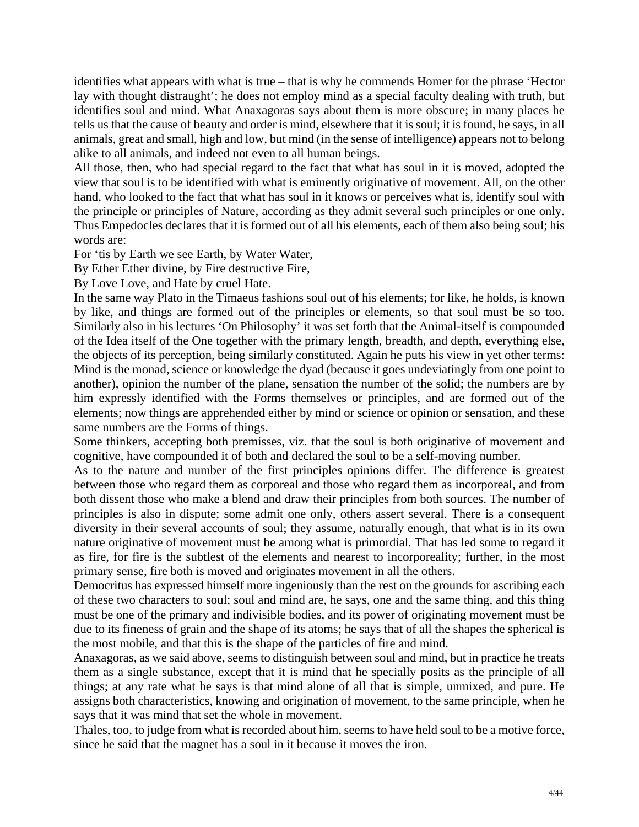identifies what appears with what is true – that is why he commends Homer for the phrase 'Hector lay with thought distraught'; he does not employ mind as a special faculty dealing with truth, but identifies soul and mind. What Anaxagoras says about them is more obscure; in many places he tells us that the cause of beauty and order is mind, elsewhere that it is soul; it is found, he says, in all animals, great and small, high and low, but mind (in the sense of intelligence) appears not to belong alike to all animals, and indeed not even to all human beings.

All those, then, who had special regard to the fact that what has soul in it is moved, adopted the view that soul is to be identified with what is eminently originative of movement. All, on the other hand, who looked to the fact that what has soul in it knows or perceives what is, identify soul with the principle or principles of Nature, according as they admit several such principles or one only. Thus Empedocles declares that it is formed out of all his elements, each of them also being soul; his words are:

For 'tis by Earth we see Earth, by Water Water,

By Ether Ether divine, by Fire destructive Fire,

By Love Love, and Hate by cruel Hate.

In the same way Plato in the Timaeus fashions soul out of his elements; for like, he holds, is known by like, and things are formed out of the principles or elements, so that soul must be so too. Similarly also in his lectures 'On Philosophy' it was set forth that the Animal-itself is compounded of the Idea itself of the One together with the primary length, breadth, and depth, everything else, the objects of its perception, being similarly constituted. Again he puts his view in yet other terms: Mind is the monad, science or knowledge the dyad (because it goes undeviatingly from one point to another), opinion the number of the plane, sensation the number of the solid; the numbers are by him expressly identified with the Forms themselves or principles, and are formed out of the elements; now things are apprehended either by mind or science or opinion or sensation, and these same numbers are the Forms of things.

Some thinkers, accepting both premisses, viz. that the soul is both originative of movement and cognitive, have compounded it of both and declared the soul to be a self-moving number.

As to the nature and number of the first principles opinions differ. The difference is greatest both dissent those who make a blend and draw their principles from both sources. The number of between those who regard them as corporeal and those who regard them as incorporeal, and from principles is also in dispute; some admit one only, others assert several. There is a consequent diversity in their several accounts of soul; they assume, naturally enough, that what is in its own nature originative of movement must be among what is primordial. That has led some to regard it as fire, for fire is the subtlest of the elements and nearest to incorporeality; further, in the most primary sense, fire both is moved and originates movement in all the others.

must be one of the primary and indivisible bodies, and its power of originating movement must be Democritus has expressed himself more ingeniously than the rest on the grounds for ascribing each of these two characters to soul; soul and mind are, he says, one and the same thing, and this thing due to its fineness of grain and the shape of its atoms; he says that of all the shapes the spherical is the most mobile, and that this is the shape of the particles of fire and mind.

things; at any rate what he says is that mind alone of all that is simple, unmixed, and pure. He Anaxagoras, as we said above, seems to distinguish between soul and mind, but in practice he treats them as a single substance, except that it is mind that he specially posits as the principle of all assigns both characteristics, knowing and origination of movement, to the same principle, when he says that it was mind that set the whole in movement.

since he said that the magnet has a soul in it because it moves the iron. Thales, too, to judge from what is recorded about him, seems to have held soul to be a motive force,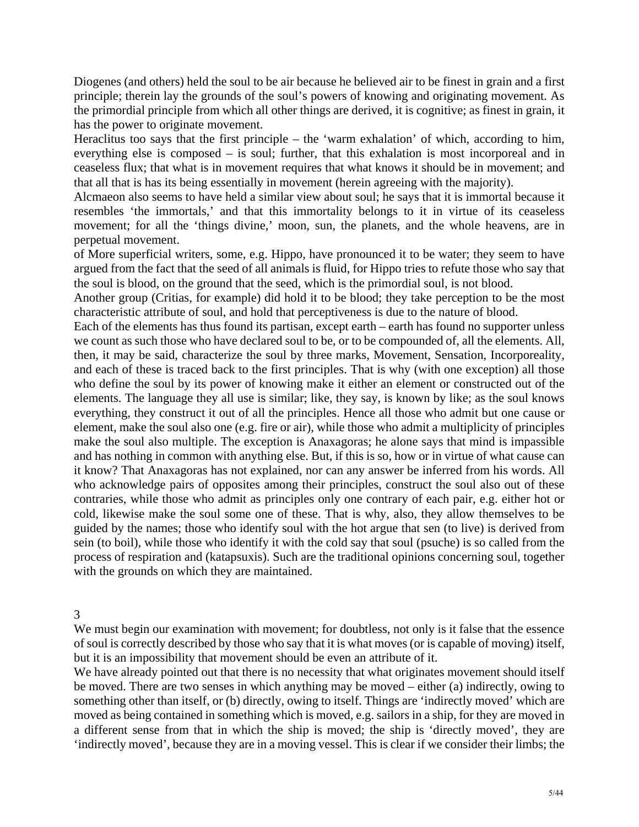Diogenes (and others) held the soul to be air because he believed air to be finest in grain and a first principle; therein lay the grounds of the soul's powers of knowing and originating movement. As the primordial principle from which all other things are derived, it is cognitive; as finest in grain, it has the power to originate movement.

that all that is has its being essentially in movement (herein agreeing with the majority). Heraclitus too says that the first principle – the 'warm exhalation' of which, according to him, everything else is composed – is soul; further, that this exhalation is most incorporeal and in ceaseless flux; that what is in movement requires that what knows it should be in movement; and

Alcmaeon also seems to have held a similar view about soul; he says that it is immortal because it resembles 'the immortals,' and that this immortality belongs to it in virtue of its ceaseless movement; for all the 'things divine,' moon, sun, the planets, and the whole heavens, are in perpetual movement.

of More superficial writers, some, e.g. Hippo, have pronounced it to be water; they seem to have argued from the fact that the seed of all animals is fluid, for Hippo tries to refute those who say that the soul is blood, on the ground that the seed, which is the primordial soul, is not blood.

Another group (Critias, for example) did hold it to be blood; they take perception to be the most characteristic attribute of soul, and hold that perceptiveness is due to the nature of blood.

we count as such those who have declared soul to be, or to be compounded of, all the elements. All, and each of these is traced back to the first principles. That is why (with one exception) all those Each of the elements has thus found its partisan, except earth – earth has found no supporter unless then, it may be said, characterize the soul by three marks, Movement, Sensation, Incorporeality, who define the soul by its power of knowing make it either an element or constructed out of the elements. The language they all use is similar; like, they say, is known by like; as the soul knows everything, they construct it out of all the principles. Hence all those who admit but one cause or element, make the soul also one (e.g. fire or air), while those who admit a multiplicity of principles make the soul also multiple. The exception is Anaxagoras; he alone says that mind is impassible and has nothing in common with anything else. But, if this is so, how or in virtue of what cause can it know? That Anaxagoras has not explained, nor can any answer be inferred from his words. All who acknowledge pairs of opposites among their principles, construct the soul also out of these contraries, while those who admit as principles only one contrary of each pair, e.g. either hot or cold, likewise make the soul some one of these. That is why, also, they allow themselves to be guided by the names; those who identify soul with the hot argue that sen (to live) is derived from sein (to boil), while those who identify it with the cold say that soul (psuche) is so called from the process of respiration and (katapsuxis). Such are the traditional opinions concerning soul, together with the grounds on which they are maintained.

3

We must begin our examination with movement; for doubtless, not only is it false that the essence of soul is correctly described by those who say that it is what moves (or is capable of moving) itself, but it is an impossibility that movement should be even an attribute of it.

We have already pointed out that there is no necessity that what originates movement should itself moved as being contained in something which is moved, e.g. sailors in a ship, for they are moved in be moved. There are two senses in which anything may be moved – either (a) indirectly, owing to something other than itself, or (b) directly, owing to itself. Things are 'indirectly moved' which are a different sense from that in which the ship is moved; the ship is 'directly moved', they are 'indirectly moved', because they are in a moving vessel. This is clear if we consider their limbs; the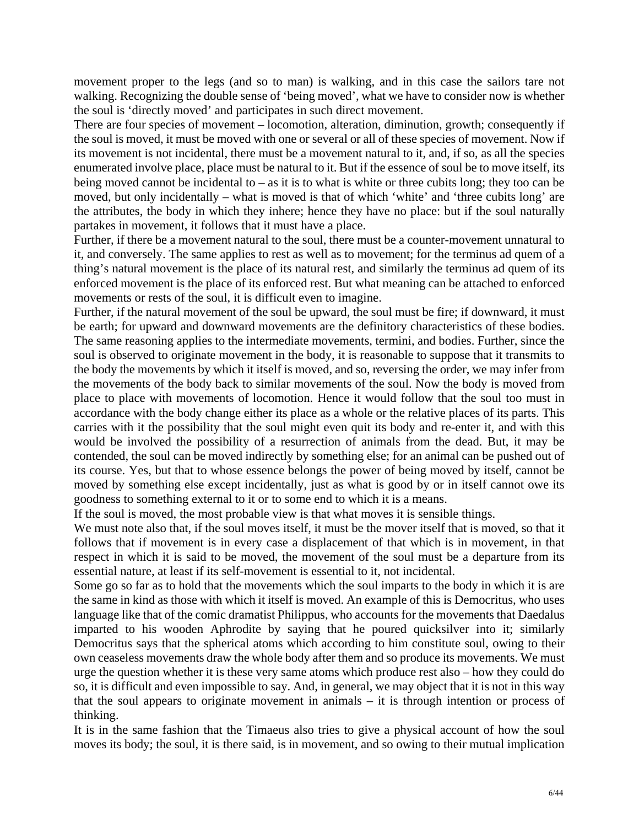movement proper to the legs (and so to man) is walking, and in this case the sailors tare not walking. Recognizing the double sense of 'being moved', what we have to consider now is whether the soul is 'directly moved' and participates in such direct movement.

There are four species of movement – locomotion, alteration, diminution, growth; consequently if the soul is moved, it must be moved with one or several or all of these species of movement. Now if its movement is not incidental, there must be a movement natural to it, and, if so, as all the species enumerated involve place, place must be natural to it. But if the essence of soul be to move itself, its being moved cannot be incidental to – as it is to what is white or three cubits long; they too can be moved, but only incidentally – what is moved is that of which 'white' and 'three cubits long' are the attributes, the body in which they inhere; hence they have no place: but if the soul naturally partakes in movement, it follows that it must have a place.

enforced movement is the place of its enforced rest. But what meaning can be attached to enforced Further, if there be a movement natural to the soul, there must be a counter-movement unnatural to it, and conversely. The same applies to rest as well as to movement; for the terminus ad quem of a thing's natural movement is the place of its natural rest, and similarly the terminus ad quem of its movements or rests of the soul, it is difficult even to imagine.

soul is observed to originate movement in the body, it is reasonable to suppose that it transmits to Further, if the natural movement of the soul be upward, the soul must be fire; if downward, it must be earth; for upward and downward movements are the definitory characteristics of these bodies. The same reasoning applies to the intermediate movements, termini, and bodies. Further, since the the body the movements by which it itself is moved, and so, reversing the order, we may infer from the movements of the body back to similar movements of the soul. Now the body is moved from place to place with movements of locomotion. Hence it would follow that the soul too must in accordance with the body change either its place as a whole or the relative places of its parts. This carries with it the possibility that the soul might even quit its body and re-enter it, and with this would be involved the possibility of a resurrection of animals from the dead. But, it may be contended, the soul can be moved indirectly by something else; for an animal can be pushed out of its course. Yes, but that to whose essence belongs the power of being moved by itself, cannot be moved by something else except incidentally, just as what is good by or in itself cannot owe its goodness to something external to it or to some end to which it is a means.

If the soul is moved, the most probable view is that what moves it is sensible things.

respect in which it is said to be moved, the movement of the soul must be a departure from its We must note also that, if the soul moves itself, it must be the mover itself that is moved, so that it follows that if movement is in every case a displacement of that which is in movement, in that essential nature, at least if its self-movement is essential to it, not incidental.

imparted to his wooden Aphrodite by saying that he poured quicksilver into it; similarly Some go so far as to hold that the movements which the soul imparts to the body in which it is are the same in kind as those with which it itself is moved. An example of this is Democritus, who uses language like that of the comic dramatist Philippus, who accounts for the movements that Daedalus Democritus says that the spherical atoms which according to him constitute soul, owing to their own ceaseless movements draw the whole body after them and so produce its movements. We must urge the question whether it is these very same atoms which produce rest also – how they could do so, it is difficult and even impossible to say. And, in general, we may object that it is not in this way that the soul appears to originate movement in animals – it is through intention or process of thinking.

It is in the same fashion that the Timaeus also tries to give a physical account of how the soul moves its body; the soul, it is there said, is in movement, and so owing to their mutual implication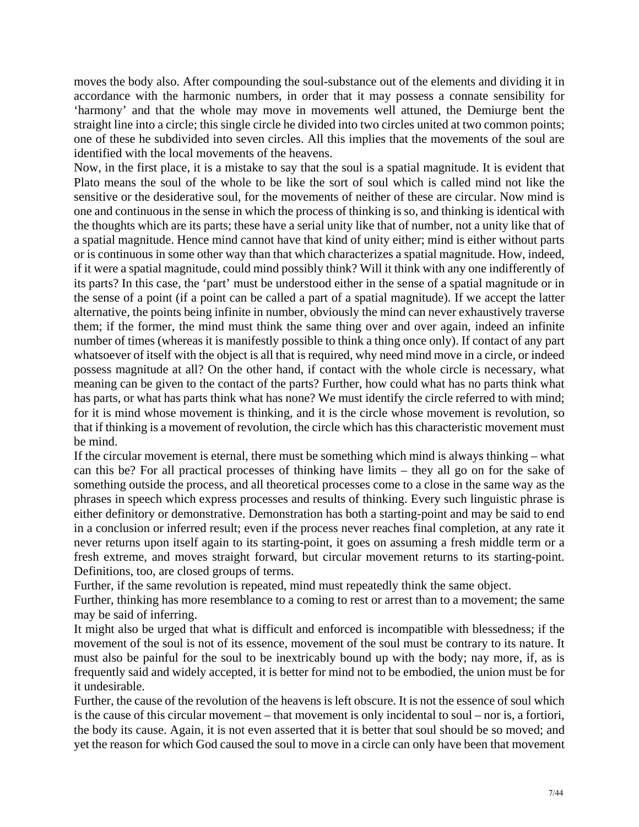moves the body also. After compounding the soul-substance out of the elements and dividing it in accordance with the harmonic numbers, in order that it may possess a connate sensibility for 'harmony' and that the whole may move in movements well attuned, the Demiurge bent the straight line into a circle; this single circle he divided into two circles united at two common points; one of these he subdivided into seven circles. All this implies that the movements of the soul are identified with the local movements of the heavens.

one and continuous in the sense in which the process of thinking is so, and thinking is identical with Now, in the first place, it is a mistake to say that the soul is a spatial magnitude. It is evident that Plato means the soul of the whole to be like the sort of soul which is called mind not like the sensitive or the desiderative soul, for the movements of neither of these are circular. Now mind is the thoughts which are its parts; these have a serial unity like that of number, not a unity like that of a spatial magnitude. Hence mind cannot have that kind of unity either; mind is either without parts or is continuous in some other way than that which characterizes a spatial magnitude. How, indeed, if it were a spatial magnitude, could mind possibly think? Will it think with any one indifferently of its parts? In this case, the 'part' must be understood either in the sense of a spatial magnitude or in the sense of a point (if a point can be called a part of a spatial magnitude). If we accept the latter alternative, the points being infinite in number, obviously the mind can never exhaustively traverse them; if the former, the mind must think the same thing over and over again, indeed an infinite number of times (whereas it is manifestly possible to think a thing once only). If contact of any part whatsoever of itself with the object is all that is required, why need mind move in a circle, or indeed possess magnitude at all? On the other hand, if contact with the whole circle is necessary, what meaning can be given to the contact of the parts? Further, how could what has no parts think what has parts, or what has parts think what has none? We must identify the circle referred to with mind; for it is mind whose movement is thinking, and it is the circle whose movement is revolution, so that if thinking is a movement of revolution, the circle which has this characteristic movement must be mind.

phrases in speech which express processes and results of thinking. Every such linguistic phrase is If the circular movement is eternal, there must be something which mind is always thinking – what can this be? For all practical processes of thinking have limits – they all go on for the sake of something outside the process, and all theoretical processes come to a close in the same way as the either definitory or demonstrative. Demonstration has both a starting-point and may be said to end in a conclusion or inferred result; even if the process never reaches final completion, at any rate it never returns upon itself again to its starting-point, it goes on assuming a fresh middle term or a fresh extreme, and moves straight forward, but circular movement returns to its starting-point. Definitions, too, are closed groups of terms.

Further, if the same revolution is repeated, mind must repeatedly think the same object.

Further, thinking has more resemblance to a coming to rest or arrest than to a movement; the same may be said of inferring.

It might also be urged that what is difficult and enforced is incompatible with blessedness; if the movement of the soul is not of its essence, movement of the soul must be contrary to its nature. It frequently said and widely accepted, it is better for mind not to be embodied, the union must be for must also be painful for the soul to be inextricably bound up with the body; nay more, if, as is it undesirable.

yet the reason for which God caused the soul to move in a circle can only have been that movement Further, the cause of the revolution of the heavens is left obscure. It is not the essence of soul which is the cause of this circular movement – that movement is only incidental to soul – nor is, a fortiori, the body its cause. Again, it is not even asserted that it is better that soul should be so moved; and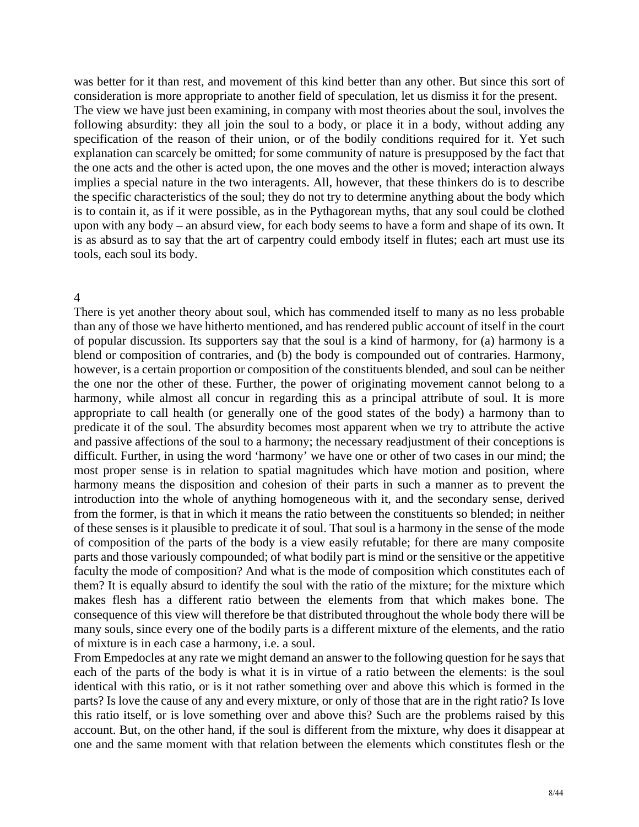was better for it than rest, and movement of this kind better than any other. But since this sort of consideration is more appropriate to another field of speculation, let us dismiss it for the present. The view we have just been examining, in company with most theories about the soul, involves the following absurdity: they all join the soul to a body, or place it in a body, without adding any specification of the reason of their union, or of the bodily conditions required for it. Yet such explanation can scarcely be omitted; for some community of nature is presupposed by the fact that the one acts and the other is acted upon, the one moves and the other is moved; interaction always implies a special nature in the two interagents. All, however, that these thinkers do is to describe the specific characteristics of the soul; they do not try to determine anything about the body which is to contain it, as if it were possible, as in the Pythagorean myths, that any soul could be clothed upon with any body – an absurd view, for each body seems to have a form and shape of its own. It is as absurd as to say that the art of carpentry could embody itself in flutes; each art must use its tools, each soul its body.

### 4

than any of those we have hitherto mentioned, and has rendered public account of itself in the court of popular discussion. Its supporters say that the soul is a kind of harmony, for (a) harmony is a blend or composition of contraries, and (b) the body is compounded out of contraries. Harmony, however, is a certain proportion or composition of the constituents blended, and soul can be neither There is yet another theory about soul, which has commended itself to many as no less probable the one nor the other of these. Further, the power of originating movement cannot belong to a harmony, while almost all concur in regarding this as a principal attribute of soul. It is more appropriate to call health (or generally one of the good states of the body) a harmony than to predicate it of the soul. The absurdity becomes most apparent when we try to attribute the active and passive affections of the soul to a harmony; the necessary readjustment of their conceptions is difficult. Further, in using the word 'harmony' we have one or other of two cases in our mind; the most proper sense is in relation to spatial magnitudes which have motion and position, where harmony means the disposition and cohesion of their parts in such a manner as to prevent the introduction into the whole of anything homogeneous with it, and the secondary sense, derived from the former, is that in which it means the ratio between the constituents so blended; in neither of these senses is it plausible to predicate it of soul. That soul is a harmony in the sense of the mode of composition of the parts of the body is a view easily refutable; for there are many composite parts and those variously compounded; of what bodily part is mind or the sensitive or the appetitive faculty the mode of composition? And what is the mode of composition which constitutes each of them? It is equally absurd to identify the soul with the ratio of the mixture; for the mixture which makes flesh has a different ratio between the elements from that which makes bone. The consequence of this view will therefore be that distributed throughout the whole body there will be many souls, since every one of the bodily parts is a different mixture of the elements, and the ratio of mixture is in each case a harmony, i.e. a soul.

this ratio itself, or is love something over and above this? Such are the problems raised by this From Empedocles at any rate we might demand an answer to the following question for he says that each of the parts of the body is what it is in virtue of a ratio between the elements: is the soul identical with this ratio, or is it not rather something over and above this which is formed in the parts? Is love the cause of any and every mixture, or only of those that are in the right ratio? Is love account. But, on the other hand, if the soul is different from the mixture, why does it disappear at one and the same moment with that relation between the elements which constitutes flesh or the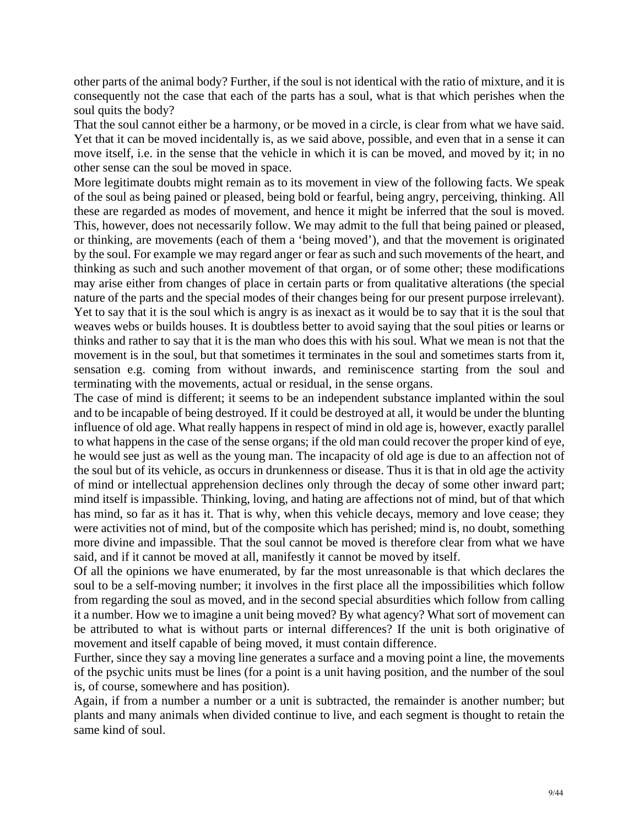other parts of the animal body? Further, if the soul is not identical with the ratio of mixture, and it is consequently not the case that each of the parts has a soul, what is that which perishes when the soul quits the body?

That the soul cannot either be a harmony, or be moved in a circle, is clear from what we have said. Yet that it can be moved incidentally is, as we said above, possible, and even that in a sense it can move itself, i.e. in the sense that the vehicle in which it is can be moved, and moved by it; in no other sense can the soul be moved in space.

More legitimate doubts might remain as to its movement in view of the following facts. We speak or thinking, are movements (each of them a 'being moved'), and that the movement is originated of the soul as being pained or pleased, being bold or fearful, being angry, perceiving, thinking. All these are regarded as modes of movement, and hence it might be inferred that the soul is moved. This, however, does not necessarily follow. We may admit to the full that being pained or pleased, by the soul. For example we may regard anger or fear as such and such movements of the heart, and thinking as such and such another movement of that organ, or of some other; these modifications may arise either from changes of place in certain parts or from qualitative alterations (the special nature of the parts and the special modes of their changes being for our present purpose irrelevant). Yet to say that it is the soul which is angry is as inexact as it would be to say that it is the soul that weaves webs or builds houses. It is doubtless better to avoid saying that the soul pities or learns or thinks and rather to say that it is the man who does this with his soul. What we mean is not that the movement is in the soul, but that sometimes it terminates in the soul and sometimes starts from it, sensation e.g. coming from without inwards, and reminiscence starting from the soul and terminating with the movements, actual or residual, in the sense organs.

the soul but of its vehicle, as occurs in drunkenness or disease. Thus it is that in old age the activity The case of mind is different; it seems to be an independent substance implanted within the soul and to be incapable of being destroyed. If it could be destroyed at all, it would be under the blunting influence of old age. What really happens in respect of mind in old age is, however, exactly parallel to what happens in the case of the sense organs; if the old man could recover the proper kind of eye, he would see just as well as the young man. The incapacity of old age is due to an affection not of of mind or intellectual apprehension declines only through the decay of some other inward part; mind itself is impassible. Thinking, loving, and hating are affections not of mind, but of that which has mind, so far as it has it. That is why, when this vehicle decays, memory and love cease; they were activities not of mind, but of the composite which has perished; mind is, no doubt, something more divine and impassible. That the soul cannot be moved is therefore clear from what we have said, and if it cannot be moved at all, manifestly it cannot be moved by itself.

Of all the opinions we have enumerated, by far the most unreasonable is that which declares the soul to be a self-moving number; it involves in the first place all the impossibilities which follow from regarding the soul as moved, and in the second special absurdities which follow from calling it a number. How we to imagine a unit being moved? By what agency? What sort of movement can be attributed to what is without parts or internal differences? If the unit is both originative of movement and itself capable of being moved, it must contain difference.

Further, since they say a moving line generates a surface and a moving point a line, the movements of the psychic units must be lines (for a point is a unit having position, and the number of the soul is, of course, somewhere and has position).

Again, if from a number a number or a unit is subtracted, the remainder is another number; but plants and many animals when divided continue to live, and each segment is thought to retain the same kind of soul.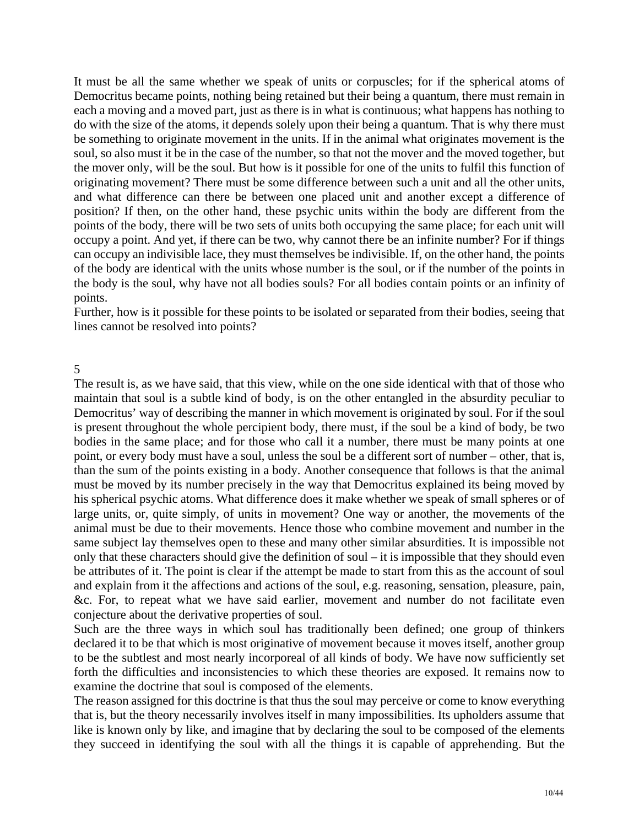It must be all the same whether we speak of units or corpuscles; for if the spherical atoms of Democritus became points, nothing being retained but their being a quantum, there must remain in each a moving and a moved part, just as there is in what is continuous; what happens has nothing to soul, so also must it be in the case of the number, so that not the mover and the moved together, but do with the size of the atoms, it depends solely upon their being a quantum. That is why there must be something to originate movement in the units. If in the animal what originates movement is the the mover only, will be the soul. But how is it possible for one of the units to fulfil this function of originating movement? There must be some difference between such a unit and all the other units, and what difference can there be between one placed unit and another except a difference of position? If then, on the other hand, these psychic units within the body are different from the points of the body, there will be two sets of units both occupying the same place; for each unit will occupy a point. And yet, if there can be two, why cannot there be an infinite number? For if things can occupy an indivisible lace, they must themselves be indivisible. If, on the other hand, the points of the body are identical with the units whose number is the soul, or if the number of the points in the body is the soul, why have not all bodies souls? For all bodies contain points or an infinity of points.

Further, how is it possible for these points to be isolated or separated from their bodies, seeing that lines cannot be resolved into points?

### 5

The result is, as we have said, that this view, while on the one side identical with that of those who Democritus' way of describing the manner in which movement is originated by soul. For if the soul is present throughout the whole percipient body, there must, if the soul be a kind of body, be two bodies in the same place; and for those who call it a number, there must be many points at one point, or every body must have a soul, unless the soul be a different sort of number – other, that is, maintain that soul is a subtle kind of body, is on the other entangled in the absurdity peculiar to than the sum of the points existing in a body. Another consequence that follows is that the animal must be moved by its number precisely in the way that Democritus explained its being moved by his spherical psychic atoms. What difference does it make whether we speak of small spheres or of large units, or, quite simply, of units in movement? One way or another, the movements of the animal must be due to their movements. Hence those who combine movement and number in the same subject lay themselves open to these and many other similar absurdities. It is impossible not only that these characters should give the definition of soul – it is impossible that they should even be attributes of it. The point is clear if the attempt be made to start from this as the account of soul and explain from it the affections and actions of the soul, e.g. reasoning, sensation, pleasure, pain, &c. For, to repeat what we have said earlier, movement and number do not facilitate even conjecture about the derivative properties of soul.

Such are the three ways in which soul has traditionally been defined; one group of thinkers declared it to be that which is most originative of movement because it moves itself, another group to be the subtlest and most nearly incorporeal of all kinds of body. We have now sufficiently set forth the difficulties and inconsistencies to which these theories are exposed. It remains now to examine the doctrine that soul is composed of the elements.

The reason assigned for this doctrine is that thus the soul may perceive or come to know everything that is, but the theory necessarily involves itself in many impossibilities. Its upholders assume that like is known only by like, and imagine that by declaring the soul to be composed of the elements they succeed in identifying the soul with all the things it is capable of apprehending. But the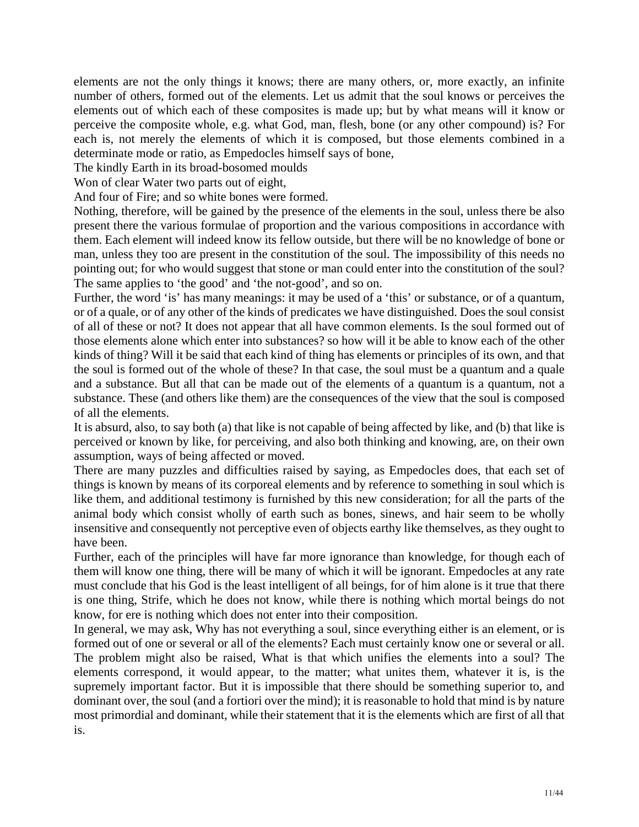elements are not the only things it knows; there are many others, or, more exactly, an infinite number of others, formed out of the elements. Let us admit that the soul knows or perceives the elements out of which each of these composites is made up; but by what means will it know or perceive the composite whole, e.g. what God, man, flesh, bone (or any other compound) is? For each is, not merely the elements of which it is composed, but those elements combined in a determinate mode or ratio, as Empedocles himself says of bone,

The kindly Earth in its broad-bosomed moulds

Won of clear Water two parts out of eight,

And four of Fire; and so white bones were formed.

them. Each element will indeed know its fellow outside, but there will be no knowledge of bone or man, unless they too are present in the constitution of the soul. The impossibility of this needs no pointing out; for who would suggest that stone or man could enter into the constitution of the soul? The same applies to 'the good' and 'the not-good', and so on. Nothing, therefore, will be gained by the presence of the elements in the soul, unless there be also present there the various formulae of proportion and the various compositions in accordance with

the soul is formed out of the whole of these? In that case, the soul must be a quantum and a quale Further, the word 'is' has many meanings: it may be used of a 'this' or substance, or of a quantum, or of a quale, or of any other of the kinds of predicates we have distinguished. Does the soul consist of all of these or not? It does not appear that all have common elements. Is the soul formed out of those elements alone which enter into substances? so how will it be able to know each of the other kinds of thing? Will it be said that each kind of thing has elements or principles of its own, and that and a substance. But all that can be made out of the elements of a quantum is a quantum, not a substance. These (and others like them) are the consequences of the view that the soul is composed of all the elements.

It is absurd, also, to say both (a) that like is not capable of being affected by like, and (b) that like is perceived or known by like, for perceiving, and also both thinking and knowing, are, on their own assumption, ways of being affected or moved.

like them, and additional testimony is furnished by this new consideration; for all the parts of the There are many puzzles and difficulties raised by saying, as Empedocles does, that each set of things is known by means of its corporeal elements and by reference to something in soul which is animal body which consist wholly of earth such as bones, sinews, and hair seem to be wholly insensitive and consequently not perceptive even of objects earthy like themselves, as they ought to have been.

Further, each of the principles will have far more ignorance than knowledge, for though each of them will know one thing, there will be many of which it will be ignorant. Empedocles at any rate must conclude that his God is the least intelligent of all beings, for of him alone is it true that there is one thing, Strife, which he does not know, while there is nothing which mortal beings do not know, for ere is nothing which does not enter into their composition.

In general, we may ask, Why has not everything a soul, since everything either is an element, or is dominant over, the soul (and a fortiori over the mind); it is reasonable to hold that mind is by nature formed out of one or several or all of the elements? Each must certainly know one or several or all. The problem might also be raised, What is that which unifies the elements into a soul? The elements correspond, it would appear, to the matter; what unites them, whatever it is, is the supremely important factor. But it is impossible that there should be something superior to, and most primordial and dominant, while their statement that it is the elements which are first of all that is.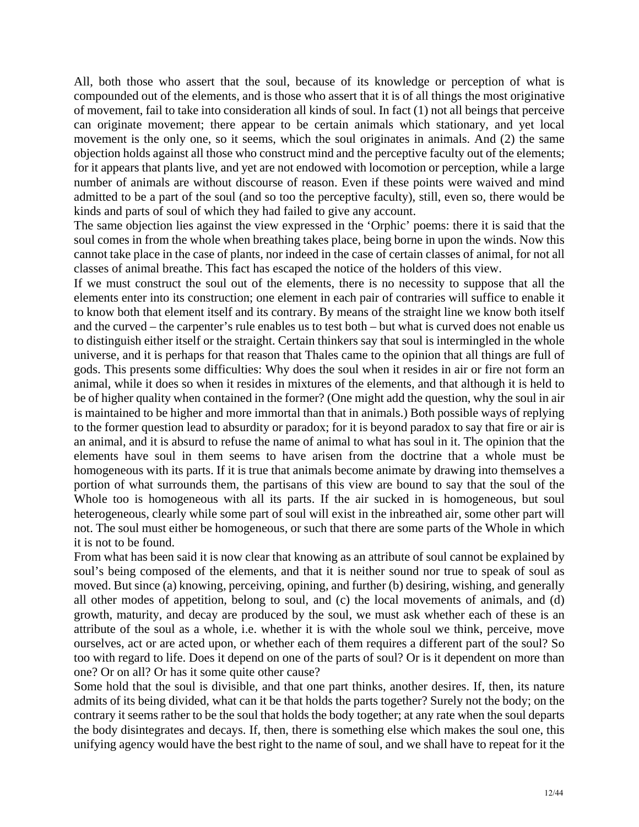All, both those who assert that the soul, because of its knowledge or perception of what is compounded out of the elements, and is those who assert that it is of all things the most originative of movement, fail to take into consideration all kinds of soul. In fact (1) not all beings that perceive can originate movement; there appear to be certain animals which stationary, and yet local movement is the only one, so it seems, which the soul originates in animals. And (2) the same objection holds against all those who construct mind and the perceptive faculty out of the elements; for it appears that plants live, and yet are not endowed with locomotion or perception, while a large number of animals are without discourse of reason. Even if these points were waived and mind admitted to be a part of the soul (and so too the perceptive faculty), still, even so, there would be kinds and parts of soul of which they had failed to give any account.

The same objection lies against the view expressed in the 'Orphic' poems: there it is said that the soul comes in from the whole when breathing takes place, being borne in upon the winds. Now this cannot take place in the case of plants, nor indeed in the case of certain classes of animal, for not all classes of animal breathe. This fact has escaped the notice of the holders of this view.

elements enter into its construction; one element in each pair of contraries will suffice to enable it universe, and it is perhaps for that reason that Thales came to the opinion that all things are full of If we must construct the soul out of the elements, there is no necessity to suppose that all the to know both that element itself and its contrary. By means of the straight line we know both itself and the curved – the carpenter's rule enables us to test both – but what is curved does not enable us to distinguish either itself or the straight. Certain thinkers say that soul is intermingled in the whole gods. This presents some difficulties: Why does the soul when it resides in air or fire not form an animal, while it does so when it resides in mixtures of the elements, and that although it is held to be of higher quality when contained in the former? (One might add the question, why the soul in air is maintained to be higher and more immortal than that in animals.) Both possible ways of replying to the former question lead to absurdity or paradox; for it is beyond paradox to say that fire or air is an animal, and it is absurd to refuse the name of animal to what has soul in it. The opinion that the elements have soul in them seems to have arisen from the doctrine that a whole must be homogeneous with its parts. If it is true that animals become animate by drawing into themselves a portion of what surrounds them, the partisans of this view are bound to say that the soul of the Whole too is homogeneous with all its parts. If the air sucked in is homogeneous, but soul heterogeneous, clearly while some part of soul will exist in the inbreathed air, some other part will not. The soul must either be homogeneous, or such that there are some parts of the Whole in which it is not to be found.

attribute of the soul as a whole, i.e. whether it is with the whole soul we think, perceive, move From what has been said it is now clear that knowing as an attribute of soul cannot be explained by soul's being composed of the elements, and that it is neither sound nor true to speak of soul as moved. But since (a) knowing, perceiving, opining, and further (b) desiring, wishing, and generally all other modes of appetition, belong to soul, and (c) the local movements of animals, and (d) growth, maturity, and decay are produced by the soul, we must ask whether each of these is an ourselves, act or are acted upon, or whether each of them requires a different part of the soul? So too with regard to life. Does it depend on one of the parts of soul? Or is it dependent on more than one? Or on all? Or has it some quite other cause?

unifying agency would have the best right to the name of soul, and we shall have to repeat for it the Some hold that the soul is divisible, and that one part thinks, another desires. If, then, its nature admits of its being divided, what can it be that holds the parts together? Surely not the body; on the contrary it seems rather to be the soul that holds the body together; at any rate when the soul departs the body disintegrates and decays. If, then, there is something else which makes the soul one, this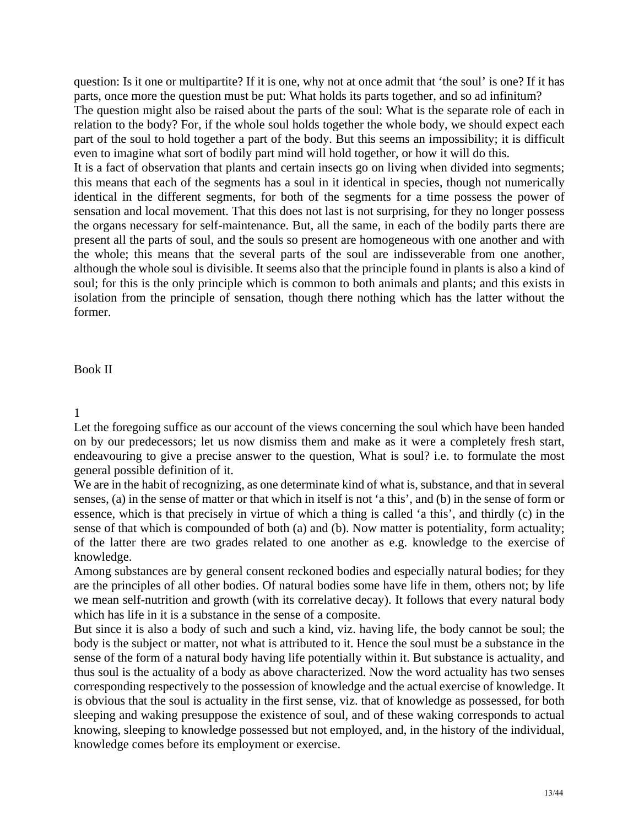question: Is it one or multipartite? If it is one, why not at once admit that 'the soul' is one? If it has parts, once more the question must be put: What holds its parts together, and so ad infinitum? The question might also be raised about the parts of the soul: What is the separate role of each in relation to the body? For, if the whole soul holds together the whole body, we should expect each part of the soul to hold together a part of the body. But this seems an impossibility; it is difficult

sensation and local movement. That this does not last is not surprising, for they no longer possess although the whole soul is divisible. It seems also that the principle found in plants is also a kind of even to imagine what sort of bodily part mind will hold together, or how it will do this. It is a fact of observation that plants and certain insects go on living when divided into segments; this means that each of the segments has a soul in it identical in species, though not numerically identical in the different segments, for both of the segments for a time possess the power of the organs necessary for self-maintenance. But, all the same, in each of the bodily parts there are present all the parts of soul, and the souls so present are homogeneous with one another and with the whole; this means that the several parts of the soul are indisseverable from one another, soul; for this is the only principle which is common to both animals and plants; and this exists in isolation from the principle of sensation, though there nothing which has the latter without the former.

# Book II

# 1

Let the foregoing suffice as our account of the views concerning the soul which have been handed on by our predecessors; let us now dismiss them and make as it were a completely fresh start, endeavouring to give a precise answer to the question, What is soul? i.e. to formulate the most general possible definition of it.

We are in the habit of recognizing, as one determinate kind of what is, substance, and that in several senses, (a) in the sense of matter or that which in itself is not 'a this', and (b) in the sense of form or essence, which is that precisely in virtue of which a thing is called 'a this', and thirdly (c) in the sense of that which is compounded of both (a) and (b). Now matter is potentiality, form actuality; of the latter there are two grades related to one another as e.g. knowledge to the exercise of knowledge.

are the principles of all other bodies. Of natural bodies some have life in them, others not; by life Among substances are by general consent reckoned bodies and especially natural bodies; for they we mean self-nutrition and growth (with its correlative decay). It follows that every natural body which has life in it is a substance in the sense of a composite.

thus soul is the actuality of a body as above characterized. Now the word actuality has two senses knowing, sleeping to knowledge possessed but not employed, and, in the history of the individual, knowledge comes before its employment or exercise. But since it is also a body of such and such a kind, viz. having life, the body cannot be soul; the body is the subject or matter, not what is attributed to it. Hence the soul must be a substance in the sense of the form of a natural body having life potentially within it. But substance is actuality, and corresponding respectively to the possession of knowledge and the actual exercise of knowledge. It is obvious that the soul is actuality in the first sense, viz. that of knowledge as possessed, for both sleeping and waking presuppose the existence of soul, and of these waking corresponds to actual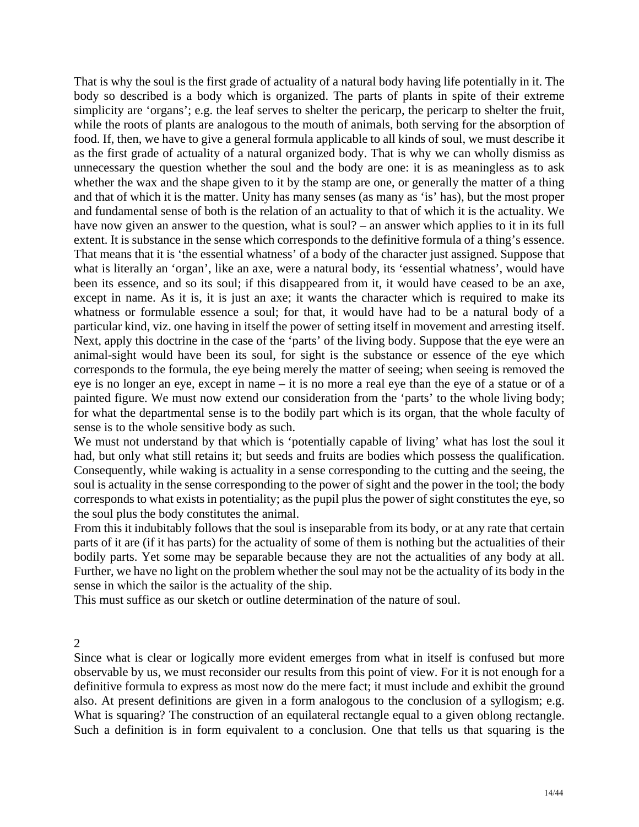That is why the soul is the first grade of actuality of a natural body having life potentially in it. The body so described is a body which is organized. The parts of plants in spite of their extreme simplicity are 'organs'; e.g. the leaf serves to shelter the pericarp, the pericarp to shelter the fruit, while the roots of plants are analogous to the mouth of animals, both serving for the absorption of food. If, then, we have to give a general formula applicable to all kinds of soul, we must describe it as the first grade of actuality of a natural organized body. That is why we can wholly dismiss as unnecessary the question whether the soul and the body are one: it is as meaningless as to ask whether the wax and the shape given to it by the stamp are one, or generally the matter of a thing and that of which it is the matter. Unity has many senses (as many as 'is' has), but the most proper and fundamental sense of both is the relation of an actuality to that of which it is the actuality. We have now given an answer to the question, what is soul? – an answer which applies to it in its full extent. It is substance in the sense which corresponds to the definitive formula of a thing's essence. That means that it is 'the essential whatness' of a body of the character just assigned. Suppose that what is literally an 'organ', like an axe, were a natural body, its 'essential whatness', would have been its essence, and so its soul; if this disappeared from it, it would have ceased to be an axe, except in name. As it is, it is just an axe; it wants the character which is required to make its whatness or formulable essence a soul; for that, it would have had to be a natural body of a particular kind, viz. one having in itself the power of setting itself in movement and arresting itself. Next, apply this doctrine in the case of the 'parts' of the living body. Suppose that the eye were an animal-sight would have been its soul, for sight is the substance or essence of the eye which corresponds to the formula, the eye being merely the matter of seeing; when seeing is removed the eye is no longer an eye, except in name – it is no more a real eye than the eye of a statue or of a painted figure. We must now extend our consideration from the 'parts' to the whole living body; for what the departmental sense is to the bodily part which is its organ, that the whole faculty of sense is to the whole sensitive body as such.

We must not understand by that which is 'potentially capable of living' what has lost the soul it had, but only what still retains it; but seeds and fruits are bodies which possess the qualification. Consequently, while waking is actuality in a sense corresponding to the cutting and the seeing, the soul is actuality in the sense corresponding to the power of sight and the power in the tool; the body corresponds to what exists in potentiality; as the pupil plus the power of sight constitutes the eye, so the soul plus the body constitutes the animal.

bodily parts. Yet some may be separable because they are not the actualities of any body at all. From this it indubitably follows that the soul is inseparable from its body, or at any rate that certain parts of it are (if it has parts) for the actuality of some of them is nothing but the actualities of their Further, we have no light on the problem whether the soul may not be the actuality of its body in the sense in which the sailor is the actuality of the ship.

This must suffice as our sketch or outline determination of the nature of soul.

2

What is squaring? The construction of an equilateral rectangle equal to a given oblong rectangle. Such a definition is in form equivalent to a conclusion. One that tells us that squaring is the Since what is clear or logically more evident emerges from what in itself is confused but more observable by us, we must reconsider our results from this point of view. For it is not enough for a definitive formula to express as most now do the mere fact; it must include and exhibit the ground also. At present definitions are given in a form analogous to the conclusion of a syllogism; e.g.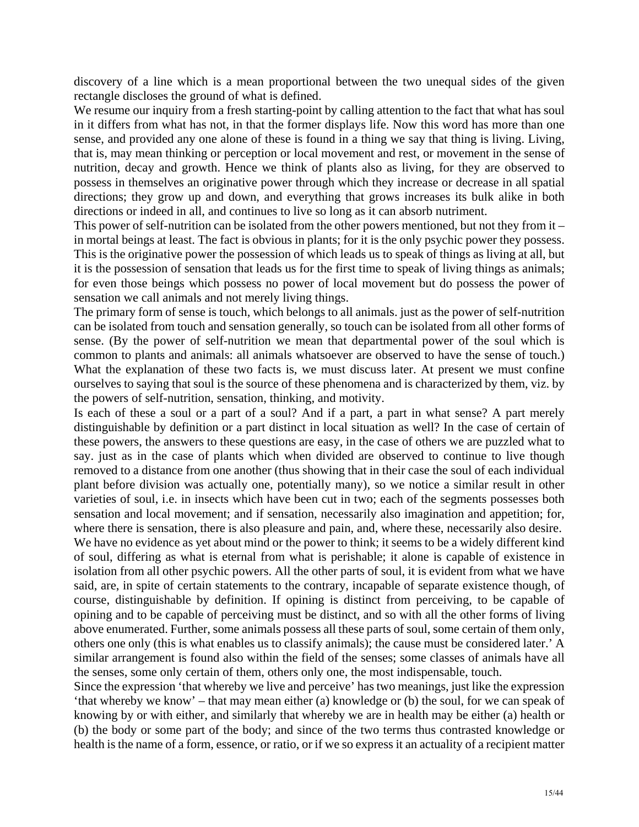discovery of a line which is a mean proportional between the two unequal sides of the given rectangle discloses the ground of what is defined.

directions or indeed in all, and continues to live so long as it can absorb nutriment. We resume our inquiry from a fresh starting-point by calling attention to the fact that what has soul in it differs from what has not, in that the former displays life. Now this word has more than one sense, and provided any one alone of these is found in a thing we say that thing is living. Living, that is, may mean thinking or perception or local movement and rest, or movement in the sense of nutrition, decay and growth. Hence we think of plants also as living, for they are observed to possess in themselves an originative power through which they increase or decrease in all spatial directions; they grow up and down, and everything that grows increases its bulk alike in both

This power of self-nutrition can be isolated from the other powers mentioned, but not they from it – in mortal beings at least. The fact is obvious in plants; for it is the only psychic power they possess. This is the originative power the possession of which leads us to speak of things as living at all, but it is the possession of sensation that leads us for the first time to speak of living things as animals; for even those beings which possess no power of local movement but do possess the power of sensation we call animals and not merely living things.

can be isolated from touch and sensation generally, so touch can be isolated from all other forms of What the explanation of these two facts is, we must discuss later. At present we must confine The primary form of sense is touch, which belongs to all animals. just as the power of self-nutrition sense. (By the power of self-nutrition we mean that departmental power of the soul which is common to plants and animals: all animals whatsoever are observed to have the sense of touch.) ourselves to saying that soul is the source of these phenomena and is characterized by them, viz. by the powers of self-nutrition, sensation, thinking, and motivity.

distinguishable by definition or a part distinct in local situation as well? In the case of certain of where there is sensation, there is also pleasure and pain, and, where these, necessarily also desire. Is each of these a soul or a part of a soul? And if a part, a part in what sense? A part merely these powers, the answers to these questions are easy, in the case of others we are puzzled what to say. just as in the case of plants which when divided are observed to continue to live though removed to a distance from one another (thus showing that in their case the soul of each individual plant before division was actually one, potentially many), so we notice a similar result in other varieties of soul, i.e. in insects which have been cut in two; each of the segments possesses both sensation and local movement; and if sensation, necessarily also imagination and appetition; for, We have no evidence as yet about mind or the power to think; it seems to be a widely different kind

the senses, some only certain of them, others only one, the most indispensable, touch. of soul, differing as what is eternal from what is perishable; it alone is capable of existence in isolation from all other psychic powers. All the other parts of soul, it is evident from what we have said, are, in spite of certain statements to the contrary, incapable of separate existence though, of course, distinguishable by definition. If opining is distinct from perceiving, to be capable of opining and to be capable of perceiving must be distinct, and so with all the other forms of living above enumerated. Further, some animals possess all these parts of soul, some certain of them only, others one only (this is what enables us to classify animals); the cause must be considered later.' A similar arrangement is found also within the field of the senses; some classes of animals have all

Since the expression 'that whereby we live and perceive' has two meanings, just like the expression 'that whereby we know' – that may mean either (a) knowledge or (b) the soul, for we can speak of knowing by or with either, and similarly that whereby we are in health may be either (a) health or (b) the body or some part of the body; and since of the two terms thus contrasted knowledge or health is the name of a form, essence, or ratio, or if we so express it an actuality of a recipient matter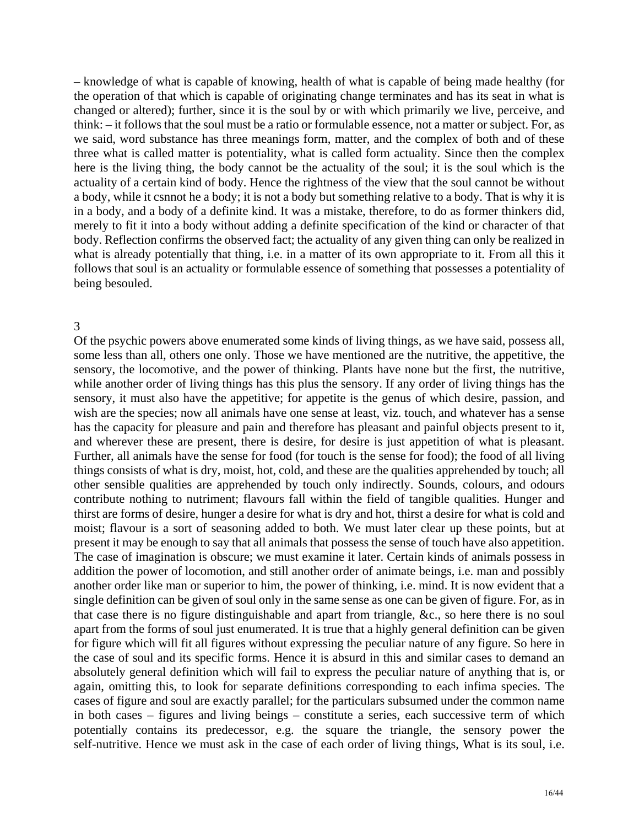– knowledge of what is capable of knowing, health of what is capable of being made healthy (for the operation of that which is capable of originating change terminates and has its seat in what is changed or altered); further, since it is the soul by or with which primarily we live, perceive, and think: – it follows that the soul must be a ratio or formulable essence, not a matter or subject. For, as we said, word substance has three meanings form, matter, and the complex of both and of these three what is called matter is potentiality, what is called form actuality. Since then the complex here is the living thing, the body cannot be the actuality of the soul; it is the soul which is the actuality of a certain kind of body. Hence the rightness of the view that the soul cannot be without a body, while it csnnot he a body; it is not a body but something relative to a body. That is why it is in a body, and a body of a definite kind. It was a mistake, therefore, to do as former thinkers did, merely to fit it into a body without adding a definite specification of the kind or character of that body. Reflection confirms the observed fact; the actuality of any given thing can only be realized in what is already potentially that thing, i.e. in a matter of its own appropriate to it. From all this it follows that soul is an actuality or formulable essence of something that possesses a potentiality of being besouled.

### 3

and wherever these are present, there is desire, for desire is just appetition of what is pleasant. Further, all animals have the sense for food (for touch is the sense for food); the food of all living things consists of what is dry, moist, hot, cold, and these are the qualities apprehended by touch; all other sensible qualities are apprehended by touch only indirectly. Sounds, colours, and odours Of the psychic powers above enumerated some kinds of living things, as we have said, possess all, some less than all, others one only. Those we have mentioned are the nutritive, the appetitive, the sensory, the locomotive, and the power of thinking. Plants have none but the first, the nutritive, while another order of living things has this plus the sensory. If any order of living things has the sensory, it must also have the appetitive; for appetite is the genus of which desire, passion, and wish are the species; now all animals have one sense at least, viz. touch, and whatever has a sense has the capacity for pleasure and pain and therefore has pleasant and painful objects present to it, contribute nothing to nutriment; flavours fall within the field of tangible qualities. Hunger and thirst are forms of desire, hunger a desire for what is dry and hot, thirst a desire for what is cold and moist; flavour is a sort of seasoning added to both. We must later clear up these points, but at present it may be enough to say that all animals that possess the sense of touch have also appetition. The case of imagination is obscure; we must examine it later. Certain kinds of animals possess in addition the power of locomotion, and still another order of animate beings, i.e. man and possibly another order like man or superior to him, the power of thinking, i.e. mind. It is now evident that a single definition can be given of soul only in the same sense as one can be given of figure. For, as in that case there is no figure distinguishable and apart from triangle, &c., so here there is no soul apart from the forms of soul just enumerated. It is true that a highly general definition can be given for figure which will fit all figures without expressing the peculiar nature of any figure. So here in the case of soul and its specific forms. Hence it is absurd in this and similar cases to demand an absolutely general definition which will fail to express the peculiar nature of anything that is, or again, omitting this, to look for separate definitions corresponding to each infima species. The cases of figure and soul are exactly parallel; for the particulars subsumed under the common name in both cases – figures and living beings – constitute a series, each successive term of which potentially contains its predecessor, e.g. the square the triangle, the sensory power the self-nutritive. Hence we must ask in the case of each order of living things, What is its soul, i.e.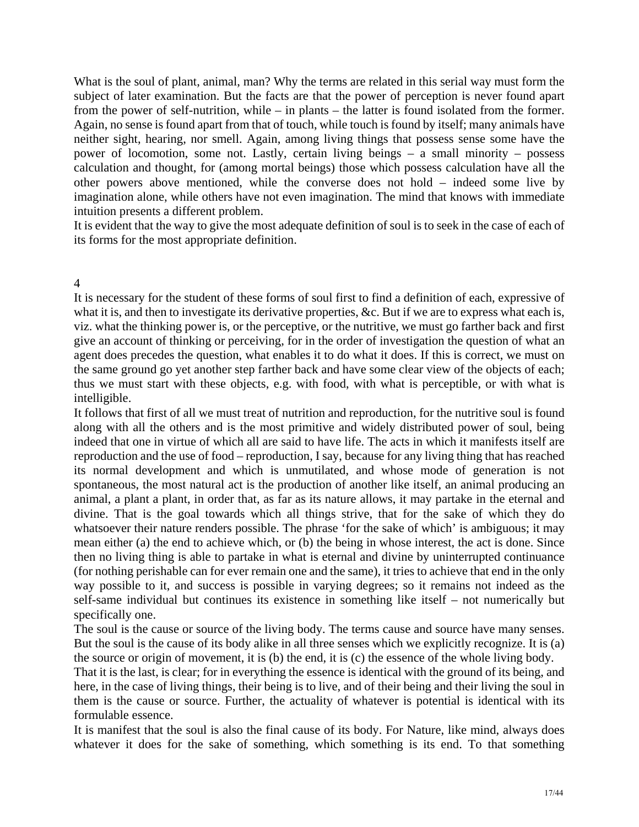What is the soul of plant, animal, man? Why the terms are related in this serial way must form the subject of later examination. But the facts are that the power of perception is never found apart from the power of self-nutrition, while – in plants – the latter is found isolated from the former. Again, no sense is found apart from that of touch, while touch is found by itself; many animals have neither sight, hearing, nor smell. Again, among living things that possess sense some have the power of locomotion, some not. Lastly, certain living beings – a small minority – possess calculation and thought, for (among mortal beings) those which possess calculation have all the other powers above mentioned, while the converse does not hold – indeed some live by imagination alone, while others have not even imagination. The mind that knows with immediate intuition presents a different problem.

It is evident that the way to give the most adequate definition of soul is to seek in the case of each of its forms for the most appropriate definition.

### 4

It is necessary for the student of these forms of soul first to find a definition of each, expressive of what it is, and then to investigate its derivative properties, &c. But if we are to express what each is, viz. what the thinking power is, or the perceptive, or the nutritive, we must go farther back and first give an account of thinking or perceiving, for in the order of investigation the question of what an agent does precedes the question, what enables it to do what it does. If this is correct, we must on the same ground go yet another step farther back and have some clear view of the objects of each; thus we must start with these objects, e.g. with food, with what is perceptible, or with what is intelligible.

It follows that first of all we must treat of nutrition and reproduction, for the nutritive soul is found along with all the others and is the most primitive and widely distributed power of soul, being indeed that one in virtue of which all are said to have life. The acts in which it manifests itself are then no living thing is able to partake in what is eternal and divine by uninterrupted continuance reproduction and the use of food – reproduction, I say, because for any living thing that has reached its normal development and which is unmutilated, and whose mode of generation is not spontaneous, the most natural act is the production of another like itself, an animal producing an animal, a plant a plant, in order that, as far as its nature allows, it may partake in the eternal and divine. That is the goal towards which all things strive, that for the sake of which they do whatsoever their nature renders possible. The phrase 'for the sake of which' is ambiguous; it may mean either (a) the end to achieve which, or (b) the being in whose interest, the act is done. Since (for nothing perishable can for ever remain one and the same), it tries to achieve that end in the only way possible to it, and success is possible in varying degrees; so it remains not indeed as the self-same individual but continues its existence in something like itself – not numerically but specifically one.

The soul is the cause or source of the living body. The terms cause and source have many senses. But the soul is the cause of its body alike in all three senses which we explicitly recognize. It is (a) the source or origin of movement, it is (b) the end, it is (c) the essence of the whole living body.

That it is the last, is clear; for in everything the essence is identical with the ground of its being, and here, in the case of living things, their being is to live, and of their being and their living the soul in them is the cause or source. Further, the actuality of whatever is potential is identical with its formulable essence.

It is manifest that the soul is also the final cause of its body. For Nature, like mind, always does whatever it does for the sake of something, which something is its end. To that something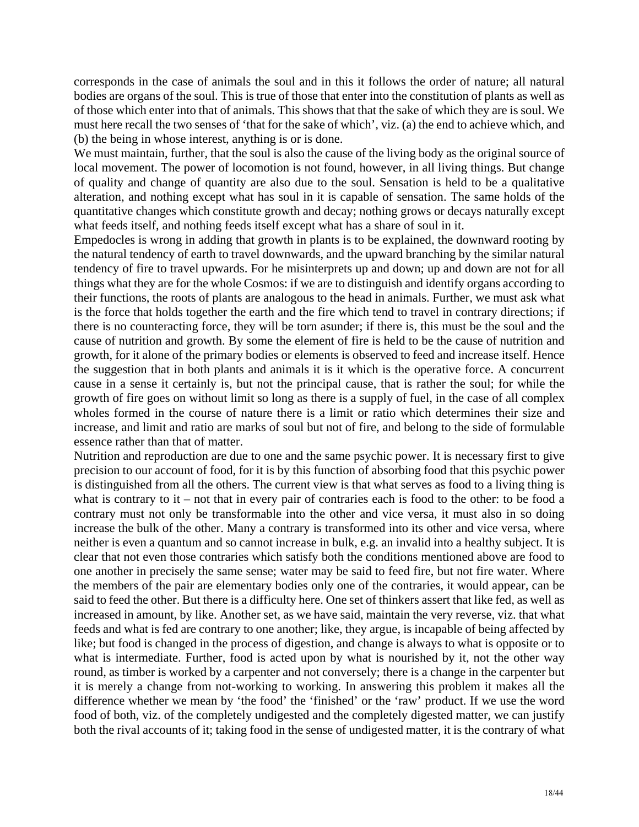corresponds in the case of animals the soul and in this it follows the order of nature; all natural bodies are organs of the soul. This is true of those that enter into the constitution of plants as well as of those which enter into that of animals. This shows that that the sake of which they are is soul. We must here recall the two senses of 'that for the sake of which', viz. (a) the end to achieve which, and (b) the being in whose interest, anything is or is done.

We must maintain, further, that the soul is also the cause of the living body as the original source of quantitative changes which constitute growth and decay; nothing grows or decays naturally except local movement. The power of locomotion is not found, however, in all living things. But change of quality and change of quantity are also due to the soul. Sensation is held to be a qualitative alteration, and nothing except what has soul in it is capable of sensation. The same holds of the what feeds itself, and nothing feeds itself except what has a share of soul in it.

is the force that holds together the earth and the fire which tend to travel in contrary directions; if Empedocles is wrong in adding that growth in plants is to be explained, the downward rooting by the natural tendency of earth to travel downwards, and the upward branching by the similar natural tendency of fire to travel upwards. For he misinterprets up and down; up and down are not for all things what they are for the whole Cosmos: if we are to distinguish and identify organs according to their functions, the roots of plants are analogous to the head in animals. Further, we must ask what there is no counteracting force, they will be torn asunder; if there is, this must be the soul and the cause of nutrition and growth. By some the element of fire is held to be the cause of nutrition and growth, for it alone of the primary bodies or elements is observed to feed and increase itself. Hence the suggestion that in both plants and animals it is it which is the operative force. A concurrent cause in a sense it certainly is, but not the principal cause, that is rather the soul; for while the growth of fire goes on without limit so long as there is a supply of fuel, in the case of all complex wholes formed in the course of nature there is a limit or ratio which determines their size and increase, and limit and ratio are marks of soul but not of fire, and belong to the side of formulable essence rather than that of matter.

increased in amount, by like. Another set, as we have said, maintain the very reverse, viz. that what Nutrition and reproduction are due to one and the same psychic power. It is necessary first to give precision to our account of food, for it is by this function of absorbing food that this psychic power is distinguished from all the others. The current view is that what serves as food to a living thing is what is contrary to it – not that in every pair of contraries each is food to the other: to be food a contrary must not only be transformable into the other and vice versa, it must also in so doing increase the bulk of the other. Many a contrary is transformed into its other and vice versa, where neither is even a quantum and so cannot increase in bulk, e.g. an invalid into a healthy subject. It is clear that not even those contraries which satisfy both the conditions mentioned above are food to one another in precisely the same sense; water may be said to feed fire, but not fire water. Where the members of the pair are elementary bodies only one of the contraries, it would appear, can be said to feed the other. But there is a difficulty here. One set of thinkers assert that like fed, as well as feeds and what is fed are contrary to one another; like, they argue, is incapable of being affected by like; but food is changed in the process of digestion, and change is always to what is opposite or to what is intermediate. Further, food is acted upon by what is nourished by it, not the other way round, as timber is worked by a carpenter and not conversely; there is a change in the carpenter but it is merely a change from not-working to working. In answering this problem it makes all the difference whether we mean by 'the food' the 'finished' or the 'raw' product. If we use the word food of both, viz. of the completely undigested and the completely digested matter, we can justify both the rival accounts of it; taking food in the sense of undigested matter, it is the contrary of what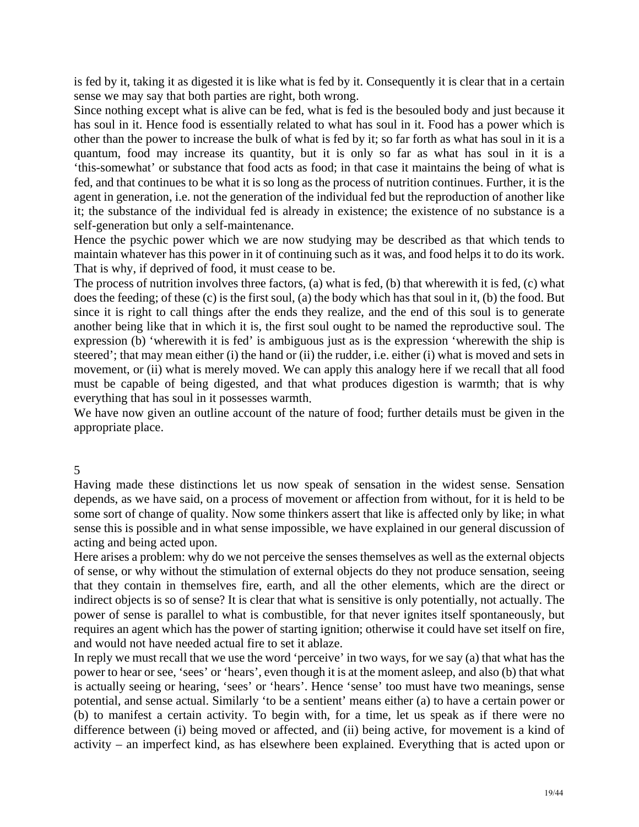is fed by it, taking it as digested it is like what is fed by it. Consequently it is clear that in a certain sense we may say that both parties are right, both wrong.

Since nothing except what is alive can be fed, what is fed is the besouled body and just because it has soul in it. Hence food is essentially related to what has soul in it. Food has a power which is other than the power to increase the bulk of what is fed by it; so far forth as what has soul in it is a quantum, food may increase its quantity, but it is only so far as what has soul in it is a 'this-somewhat' or substance that food acts as food; in that case it maintains the being of what is fed, and that continues to be what it is so long as the process of nutrition continues. Further, it is the agent in generation, i.e. not the generation of the individual fed but the reproduction of another like it; the substance of the individual fed is already in existence; the existence of no substance is a self-generation but only a self-maintenance.

Hence the psychic power which we are now studying may be described as that which tends to maintain whatever has this power in it of continuing such as it was, and food helps it to do its work. That is why, if deprived of food, it must cease to be.

everything that has soul in it possesses warmth. The process of nutrition involves three factors, (a) what is fed, (b) that wherewith it is fed, (c) what does the feeding; of these (c) is the first soul, (a) the body which has that soul in it, (b) the food. But since it is right to call things after the ends they realize, and the end of this soul is to generate another being like that in which it is, the first soul ought to be named the reproductive soul. The expression (b) 'wherewith it is fed' is ambiguous just as is the expression 'wherewith the ship is steered'; that may mean either (i) the hand or (ii) the rudder, i.e. either (i) what is moved and sets in movement, or (ii) what is merely moved. We can apply this analogy here if we recall that all food must be capable of being digested, and that what produces digestion is warmth; that is why

We have now given an outline account of the nature of food; further details must be given in the appropriate place.

# 5

Having made these distinctions let us now speak of sensation in the widest sense. Sensation depends, as we have said, on a process of movement or affection from without, for it is held to be some sort of change of quality. Now some thinkers assert that like is affected only by like; in what sense this is possible and in what sense impossible, we have explained in our general discussion of acting and being acted upon.

of sense, or why without the stimulation of external objects do they not produce sensation, seeing indirect objects is so of sense? It is clear that what is sensitive is only potentially, not actually. The power of sense is parallel to what is combustible, for that never ignites itself spontaneously, but requires an agent which has the power of starting ignition; otherwise it could have set itself on fire, and would not have needed actual fire to set it ablaze. Here arises a problem: why do we not perceive the senses themselves as well as the external objects that they contain in themselves fire, earth, and all the other elements, which are the direct or

(b) to manifest a certain activity. To begin with, for a time, let us speak as if there were no In reply we must recall that we use the word 'perceive' in two ways, for we say (a) that what has the power to hear or see, 'sees' or 'hears', even though it is at the moment asleep, and also (b) that what is actually seeing or hearing, 'sees' or 'hears'. Hence 'sense' too must have two meanings, sense potential, and sense actual. Similarly 'to be a sentient' means either (a) to have a certain power or difference between (i) being moved or affected, and (ii) being active, for movement is a kind of activity – an imperfect kind, as has elsewhere been explained. Everything that is acted upon or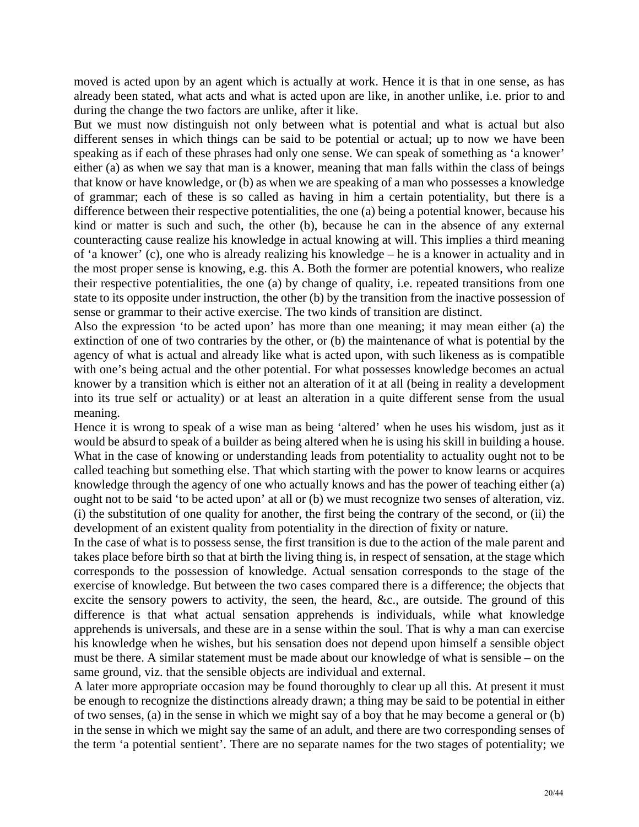moved is acted upon by an agent which is actually at work. Hence it is that in one sense, as has already been stated, what acts and what is acted upon are like, in another unlike, i.e. prior to and during the change the two factors are unlike, after it like.

But we must now distinguish not only between what is potential and what is actual but also different senses in which things can be said to be potential or actual; up to now we have been their respective potentialities, the one (a) by change of quality, i.e. repeated transitions from one speaking as if each of these phrases had only one sense. We can speak of something as 'a knower' either (a) as when we say that man is a knower, meaning that man falls within the class of beings that know or have knowledge, or (b) as when we are speaking of a man who possesses a knowledge of grammar; each of these is so called as having in him a certain potentiality, but there is a difference between their respective potentialities, the one (a) being a potential knower, because his kind or matter is such and such, the other (b), because he can in the absence of any external counteracting cause realize his knowledge in actual knowing at will. This implies a third meaning of 'a knower' (c), one who is already realizing his knowledge – he is a knower in actuality and in the most proper sense is knowing, e.g. this A. Both the former are potential knowers, who realize state to its opposite under instruction, the other (b) by the transition from the inactive possession of sense or grammar to their active exercise. The two kinds of transition are distinct.

Also the expression 'to be acted upon' has more than one meaning; it may mean either (a) the extinction of one of two contraries by the other, or (b) the maintenance of what is potential by the agency of what is actual and already like what is acted upon, with such likeness as is compatible with one's being actual and the other potential. For what possesses knowledge becomes an actual knower by a transition which is either not an alteration of it at all (being in reality a development into its true self or actuality) or at least an alteration in a quite different sense from the usual meaning.

ought not to be said 'to be acted upon' at all or (b) we must recognize two senses of alteration, viz. Hence it is wrong to speak of a wise man as being 'altered' when he uses his wisdom, just as it would be absurd to speak of a builder as being altered when he is using his skill in building a house. What in the case of knowing or understanding leads from potentiality to actuality ought not to be called teaching but something else. That which starting with the power to know learns or acquires knowledge through the agency of one who actually knows and has the power of teaching either (a) (i) the substitution of one quality for another, the first being the contrary of the second, or (ii) the development of an existent quality from potentiality in the direction of fixity or nature.

excite the sensory powers to activity, the seen, the heard,  $\&c$ , are outside. The ground of this his knowledge when he wishes, but his sensation does not depend upon himself a sensible object In the case of what is to possess sense, the first transition is due to the action of the male parent and takes place before birth so that at birth the living thing is, in respect of sensation, at the stage which corresponds to the possession of knowledge. Actual sensation corresponds to the stage of the exercise of knowledge. But between the two cases compared there is a difference; the objects that difference is that what actual sensation apprehends is individuals, while what knowledge apprehends is universals, and these are in a sense within the soul. That is why a man can exercise must be there. A similar statement must be made about our knowledge of what is sensible – on the same ground, viz. that the sensible objects are individual and external.

in the sense in which we might say the same of an adult, and there are two corresponding senses of the term 'a potential sentient'. There are no separate names for the two stages of potentiality; we A later more appropriate occasion may be found thoroughly to clear up all this. At present it must be enough to recognize the distinctions already drawn; a thing may be said to be potential in either of two senses, (a) in the sense in which we might say of a boy that he may become a general or (b)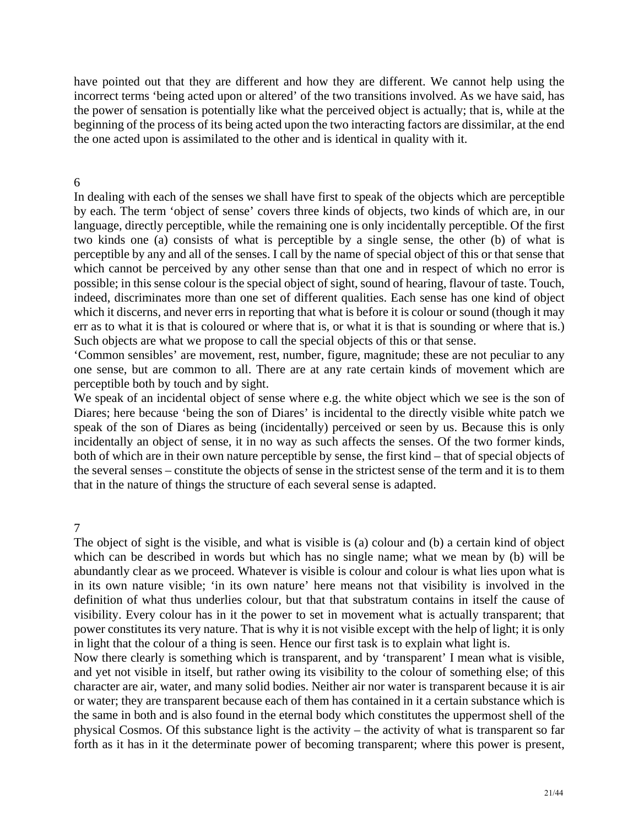have pointed out that they are different and how they are different. We cannot help using the incorrect terms 'being acted upon or altered' of the two transitions involved. As we have said, has the power of sensation is potentially like what the perceived object is actually; that is, while at the beginning of the process of its being acted upon the two interacting factors are dissimilar, at the end the one acted upon is assimilated to the other and is identical in quality with it.

### 6

In dealing with each of the senses we shall have first to speak of the objects which are perceptible by each. The term 'object of sense' covers three kinds of objects, two kinds of which are, in our language, directly perceptible, while the remaining one is only incidentally perceptible. Of the first two kinds one (a) consists of what is perceptible by a single sense, the other (b) of what is perceptible by any and all of the senses. I call by the name of special object of this or that sense that which cannot be perceived by any other sense than that one and in respect of which no error is possible; in this sense colour is the special object of sight, sound of hearing, flavour of taste. Touch, indeed, discriminates more than one set of different qualities. Each sense has one kind of object which it discerns, and never errs in reporting that what is before it is colour or sound (though it may err as to what it is that is coloured or where that is, or what it is that is sounding or where that is.) Such objects are what we propose to call the special objects of this or that sense.

one sense, but are common to all. There are at any rate certain kinds of movement which are perceptible both by touch and by sight. 'Common sensibles' are movement, rest, number, figure, magnitude; these are not peculiar to any

We speak of an incidental object of sense where e.g. the white object which we see is the son of Diares; here because 'being the son of Diares' is incidental to the directly visible white patch we speak of the son of Diares as being (incidentally) perceived or seen by us. Because this is only incidentally an object of sense, it in no way as such affects the senses. Of the two former kinds, both of which are in their own nature perceptible by sense, the first kind – that of special objects of the several senses – constitute the objects of sense in the strictest sense of the term and it is to them that in the nature of things the structure of each several sense is adapted.

# 7

abundantly clear as we proceed. Whatever is visible is colour and colour is what lies upon what is visibility. Every colour has in it the power to set in movement what is actually transparent; that The object of sight is the visible, and what is visible is (a) colour and (b) a certain kind of object which can be described in words but which has no single name; what we mean by (b) will be in its own nature visible; 'in its own nature' here means not that visibility is involved in the definition of what thus underlies colour, but that that substratum contains in itself the cause of power constitutes its very nature. That is why it is not visible except with the help of light; it is only in light that the colour of a thing is seen. Hence our first task is to explain what light is.

the same in both and is also found in the eternal body which constitutes the uppermost shell of the hysical Cosmos. Of this substance light is the activity – the activity of what is transparent so far p forth as it has in it the determinate power of becoming transparent; where this power is present, Now there clearly is something which is transparent, and by 'transparent' I mean what is visible, and yet not visible in itself, but rather owing its visibility to the colour of something else; of this character are air, water, and many solid bodies. Neither air nor water is transparent because it is air or water; they are transparent because each of them has contained in it a certain substance which is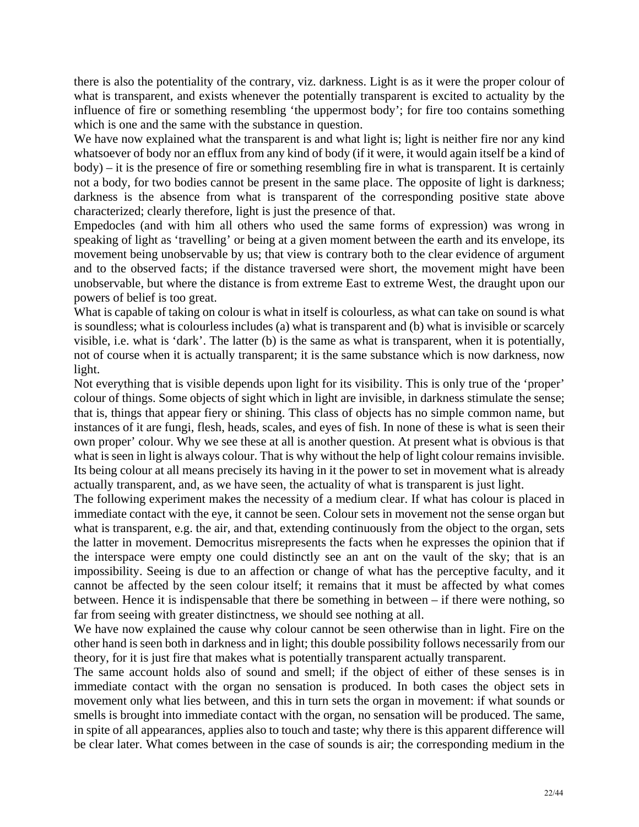there is also the potentiality of the contrary, viz. darkness. Light is as it were the proper colour of what is transparent, and exists whenever the potentially transparent is excited to actuality by the influence of fire or something resembling 'the uppermost body'; for fire too contains something which is one and the same with the substance in question.

darkness is the absence from what is transparent of the corresponding positive state above We have now explained what the transparent is and what light is; light is neither fire nor any kind whatsoever of body nor an efflux from any kind of body (if it were, it would again itself be a kind of body) – it is the presence of fire or something resembling fire in what is transparent. It is certainly not a body, for two bodies cannot be present in the same place. The opposite of light is darkness; characterized; clearly therefore, light is just the presence of that.

Empedocles (and with him all others who used the same forms of expression) was wrong in speaking of light as 'travelling' or being at a given moment between the earth and its envelope, its movement being unobservable by us; that view is contrary both to the clear evidence of argument and to the observed facts; if the distance traversed were short, the movement might have been unobservable, but where the distance is from extreme East to extreme West, the draught upon our powers of belief is too great.

not of course when it is actually transparent; it is the same substance which is now darkness, now What is capable of taking on colour is what in itself is colourless, as what can take on sound is what is soundless; what is colourless includes (a) what is transparent and (b) what is invisible or scarcely visible, i.e. what is 'dark'. The latter (b) is the same as what is transparent, when it is potentially, light.

own proper' colour. Why we see these at all is another question. At present what is obvious is that Not everything that is visible depends upon light for its visibility. This is only true of the 'proper' colour of things. Some objects of sight which in light are invisible, in darkness stimulate the sense; that is, things that appear fiery or shining. This class of objects has no simple common name, but instances of it are fungi, flesh, heads, scales, and eyes of fish. In none of these is what is seen their what is seen in light is always colour. That is why without the help of light colour remains invisible. Its being colour at all means precisely its having in it the power to set in movement what is already actually transparent, and, as we have seen, the actuality of what is transparent is just light.

what is transparent, e.g. the air, and that, extending continuously from the object to the organ, sets between. Hence it is indispensable that there be something in between – if there were nothing, so The following experiment makes the necessity of a medium clear. If what has colour is placed in immediate contact with the eye, it cannot be seen. Colour sets in movement not the sense organ but the latter in movement. Democritus misrepresents the facts when he expresses the opinion that if the interspace were empty one could distinctly see an ant on the vault of the sky; that is an impossibility. Seeing is due to an affection or change of what has the perceptive faculty, and it cannot be affected by the seen colour itself; it remains that it must be affected by what comes far from seeing with greater distinctness, we should see nothing at all.

We have now explained the cause why colour cannot be seen otherwise than in light. Fire on the other hand is seen both in darkness and in light; this double possibility follows necessarily from our theory, for it is just fire that makes what is potentially transparent actually transparent.

in spite of all appearances, applies also to touch and taste; why there is this apparent difference will be clear later. What comes between in the case of sounds is air; the corresponding medium in the The same account holds also of sound and smell; if the object of either of these senses is in immediate contact with the organ no sensation is produced. In both cases the object sets in movement only what lies between, and this in turn sets the organ in movement: if what sounds or smells is brought into immediate contact with the organ, no sensation will be produced. The same,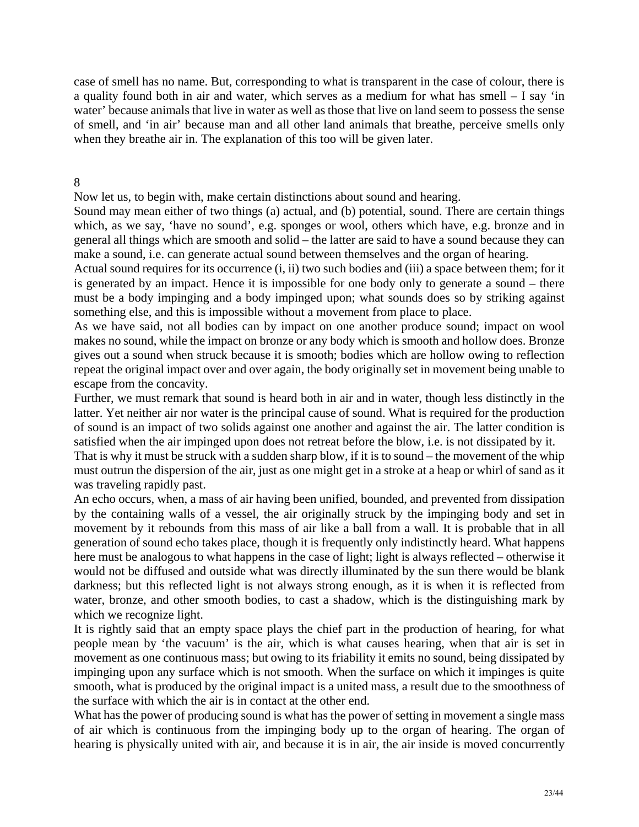case of smell has no name. But, corresponding to what is transparent in the case of colour, there is a quality found both in air and water, which serves as a medium for what has smell – I say 'in water' because animals that live in water as well as those that live on land seem to possess the sense of smell, and 'in air' because man and all other land animals that breathe, perceive smells only when they breathe air in. The explanation of this too will be given later.

8

Now let us, to begin with, make certain distinctions about sound and hearing.

general all things which are smooth and solid – the latter are said to have a sound because they can Sound may mean either of two things (a) actual, and (b) potential, sound. There are certain things which, as we say, 'have no sound', e.g. sponges or wool, others which have, e.g. bronze and in make a sound, i.e. can generate actual sound between themselves and the organ of hearing.

Actual sound requires for its occurrence (i, ii) two such bodies and (iii) a space between them; for it is generated by an impact. Hence it is impossible for one body only to generate a sound – there must be a body impinging and a body impinged upon; what sounds does so by striking against something else, and this is impossible without a movement from place to place.

As we have said, not all bodies can by impact on one another produce sound; impact on wool makes no sound, while the impact on bronze or any body which is smooth and hollow does. Bronze gives out a sound when struck because it is smooth; bodies which are hollow owing to reflection repeat the original impact over and over again, the body originally set in movement being unable to escape from the concavity.

Further, we must remark that sound is heard both in air and in water, though less distinctly in the latter. Yet neither air nor water is the principal cause of sound. What is required for the production of sound is an impact of two solids against one another and against the air. The latter condition is satisfied when the air impinged upon does not retreat before the blow, i.e. is not dissipated by it.

That is why it must be struck with a sudden sharp blow, if it is to sound – the movement of the whip must outrun the dispersion of the air, just as one might get in a stroke at a heap or whirl of sand as it was traveling rapidly past.

by the containing walls of a vessel, the air originally struck by the impinging body and set in would not be diffused and outside what was directly illuminated by the sun there would be blank An echo occurs, when, a mass of air having been unified, bounded, and prevented from dissipation movement by it rebounds from this mass of air like a ball from a wall. It is probable that in all generation of sound echo takes place, though it is frequently only indistinctly heard. What happens here must be analogous to what happens in the case of light; light is always reflected – otherwise it darkness; but this reflected light is not always strong enough, as it is when it is reflected from water, bronze, and other smooth bodies, to cast a shadow, which is the distinguishing mark by which we recognize light.

people mean by 'the vacuum' is the air, which is what causes hearing, when that air is set in It is rightly said that an empty space plays the chief part in the production of hearing, for what movement as one continuous mass; but owing to its friability it emits no sound, being dissipated by impinging upon any surface which is not smooth. When the surface on which it impinges is quite smooth, what is produced by the original impact is a united mass, a result due to the smoothness of the surface with which the air is in contact at the other end.

What has the power of producing sound is what has the power of setting in movement a single mass of air which is continuous from the impinging body up to the organ of hearing. The organ of hearing is physically united with air, and because it is in air, the air inside is moved concurrently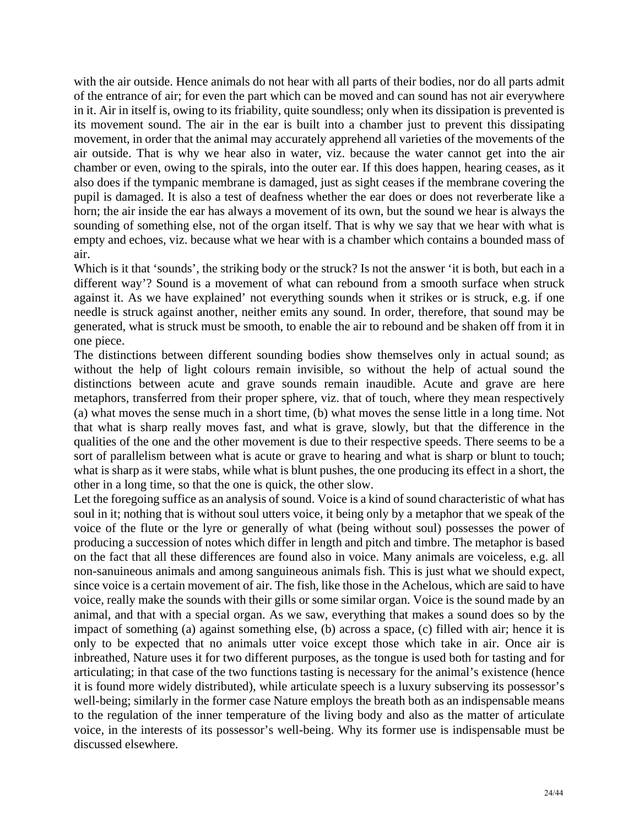with the air outside. Hence animals do not hear with all parts of their bodies, nor do all parts admit of the entrance of air; for even the part which can be moved and can sound has not air everywhere in it. Air in itself is, owing to its friability, quite soundless; only when its dissipation is prevented is empty and echoes, viz. because what we hear with is a chamber which contains a bounded mass of its movement sound. The air in the ear is built into a chamber just to prevent this dissipating movement, in order that the animal may accurately apprehend all varieties of the movements of the air outside. That is why we hear also in water, viz. because the water cannot get into the air chamber or even, owing to the spirals, into the outer ear. If this does happen, hearing ceases, as it also does if the tympanic membrane is damaged, just as sight ceases if the membrane covering the pupil is damaged. It is also a test of deafness whether the ear does or does not reverberate like a horn; the air inside the ear has always a movement of its own, but the sound we hear is always the sounding of something else, not of the organ itself. That is why we say that we hear with what is air.

generated, what is struck must be smooth, to enable the air to rebound and be shaken off from it in Which is it that 'sounds', the striking body or the struck? Is not the answer 'it is both, but each in a different way'? Sound is a movement of what can rebound from a smooth surface when struck against it. As we have explained' not everything sounds when it strikes or is struck, e.g. if one needle is struck against another, neither emits any sound. In order, therefore, that sound may be one piece.

The distinctions between different sounding bodies show themselves only in actual sound; as without the help of light colours remain invisible, so without the help of actual sound the distinctions between acute and grave sounds remain inaudible. Acute and grave are here metaphors, transferred from their proper sphere, viz. that of touch, where they mean respectively (a) what moves the sense much in a short time, (b) what moves the sense little in a long time. Not that what is sharp really moves fast, and what is grave, slowly, but that the difference in the qualities of the one and the other movement is due to their respective speeds. There seems to be a sort of parallelism between what is acute or grave to hearing and what is sharp or blunt to touch; what is sharp as it were stabs, while what is blunt pushes, the one producing its effect in a short, the other in a long time, so that the one is quick, the other slow.

on the fact that all these differences are found also in voice. Many animals are voiceless, e.g. all only to be expected that no animals utter voice except those which take in air. Once air is Let the foregoing suffice as an analysis of sound. Voice is a kind of sound characteristic of what has soul in it; nothing that is without soul utters voice, it being only by a metaphor that we speak of the voice of the flute or the lyre or generally of what (being without soul) possesses the power of producing a succession of notes which differ in length and pitch and timbre. The metaphor is based non-sanuineous animals and among sanguineous animals fish. This is just what we should expect, since voice is a certain movement of air. The fish, like those in the Achelous, which are said to have voice, really make the sounds with their gills or some similar organ. Voice is the sound made by an animal, and that with a special organ. As we saw, everything that makes a sound does so by the impact of something (a) against something else, (b) across a space, (c) filled with air; hence it is inbreathed, Nature uses it for two different purposes, as the tongue is used both for tasting and for articulating; in that case of the two functions tasting is necessary for the animal's existence (hence it is found more widely distributed), while articulate speech is a luxury subserving its possessor's well-being; similarly in the former case Nature employs the breath both as an indispensable means to the regulation of the inner temperature of the living body and also as the matter of articulate voice, in the interests of its possessor's well-being. Why its former use is indispensable must be discussed elsewhere.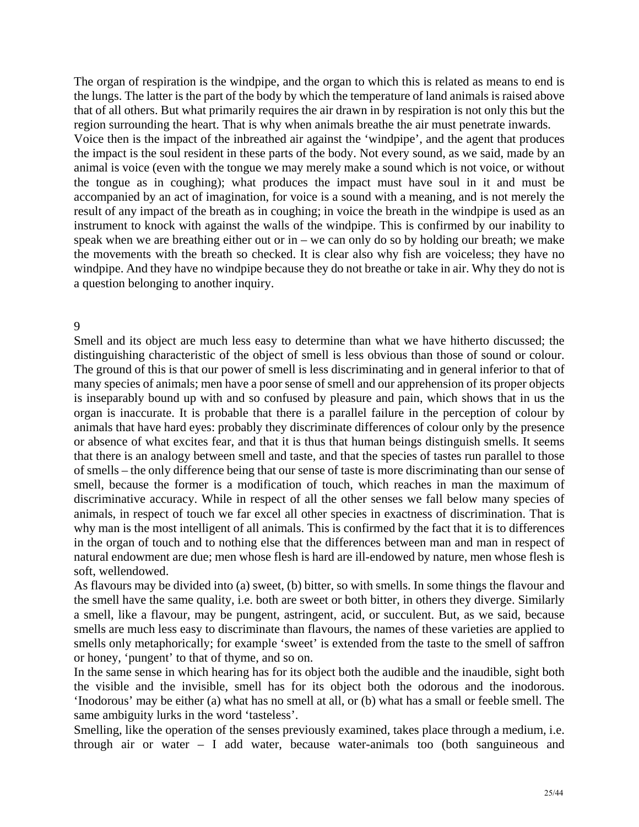The organ of respiration is the windpipe, and the organ to which this is related as means to end is the lungs. The latter is the part of the body by which the temperature of land animals is raised above that of all others. But what primarily requires the air drawn in by respiration is not only this but the region surrounding the heart. That is why when animals breathe the air must penetrate inwards. Voice then is the impact of the inbreathed air against the 'windpipe', and the agent that produces the impact is the soul resident in these parts of the body. Not every sound, as we said, made by an animal is voice (even with the tongue we may merely make a sound which is not voice, or without the tongue as in coughing); what produces the impact must have soul in it and must be accompanied by an act of imagination, for voice is a sound with a meaning, and is not merely the result of any impact of the breath as in coughing; in voice the breath in the windpipe is used as an instrument to knock with against the walls of the windpipe. This is confirmed by our inability to speak when we are breathing either out or in – we can only do so by holding our breath; we make the movements with the breath so checked. It is clear also why fish are voiceless; they have no windpipe. And they have no windpipe because they do not breathe or take in air. Why they do not is a question belonging to another inquiry.

9

The ground of this is that our power of smell is less discriminating and in general inferior to that of or absence of what excites fear, and that it is thus that human beings distinguish smells. It seems Smell and its object are much less easy to determine than what we have hitherto discussed; the distinguishing characteristic of the object of smell is less obvious than those of sound or colour. many species of animals; men have a poor sense of smell and our apprehension of its proper objects is inseparably bound up with and so confused by pleasure and pain, which shows that in us the organ is inaccurate. It is probable that there is a parallel failure in the perception of colour by animals that have hard eyes: probably they discriminate differences of colour only by the presence that there is an analogy between smell and taste, and that the species of tastes run parallel to those of smells – the only difference being that our sense of taste is more discriminating than our sense of smell, because the former is a modification of touch, which reaches in man the maximum of discriminative accuracy. While in respect of all the other senses we fall below many species of animals, in respect of touch we far excel all other species in exactness of discrimination. That is why man is the most intelligent of all animals. This is confirmed by the fact that it is to differences in the organ of touch and to nothing else that the differences between man and man in respect of natural endowment are due; men whose flesh is hard are ill-endowed by nature, men whose flesh is soft, wellendowed.

the smell have the same quality, i.e. both are sweet or both bitter, in others they diverge. Similarly a smell, like a flavour, may be pungent, astringent, acid, or succulent. But, as we said, because smells are much less easy to discriminate than flavours, the names of these varieties are applied to smells only metaphorically; for example 'sweet' is extended from the taste to the smell of saffron As flavours may be divided into (a) sweet, (b) bitter, so with smells. In some things the flavour and or honey, 'pungent' to that of thyme, and so on.

In the same sense in which hearing has for its object both the audible and the inaudible, sight both the visible and the invisible, smell has for its object both the odorous and the inodorous. 'Inodorous' may be either (a) what has no smell at all, or (b) what has a small or feeble smell. The same ambiguity lurks in the word 'tasteless'.

Smelling, like the operation of the senses previously examined, takes place through a medium, i.e. through air or water – I add water, because water-animals too (both sanguineous and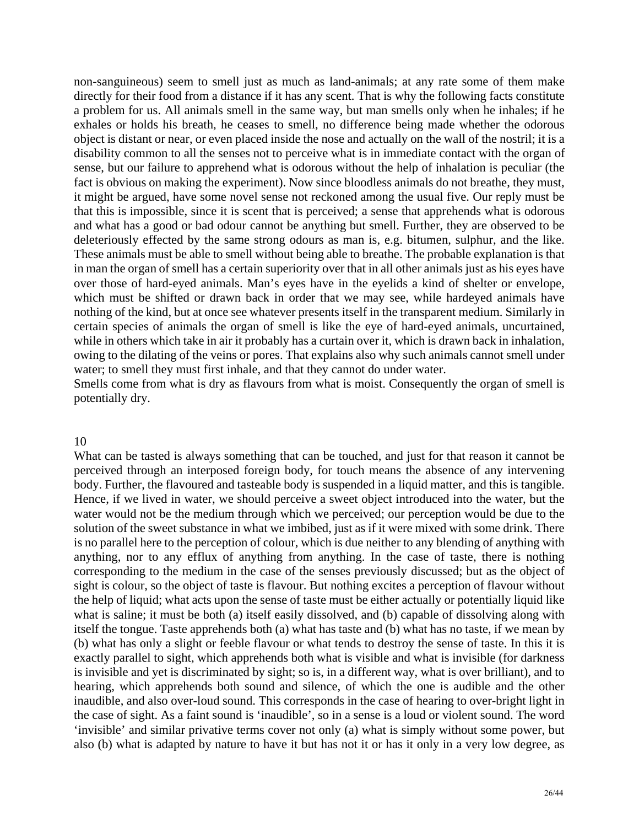non-sanguineous) seem to smell just as much as land-animals; at any rate some of them make directly for their food from a distance if it has any scent. That is why the following facts constitute a problem for us. All animals smell in the same way, but man smells only when he inhales; if he exhales or holds his breath, he ceases to smell, no difference being made whether the odorous object is distant or near, or even placed inside the nose and actually on the wall of the nostril; it is a disability common to all the senses not to perceive what is in immediate contact with the organ of sense, but our failure to apprehend what is odorous without the help of inhalation is peculiar (the fact is obvious on making the experiment). Now since bloodless animals do not breathe, they must, it might be argued, have some novel sense not reckoned among the usual five. Our reply must be that this is impossible, since it is scent that is perceived; a sense that apprehends what is odorous which must be shifted or drawn back in order that we may see, while hardeyed animals have owing to the dilating of the veins or pores. That explains also why such animals cannot smell under and what has a good or bad odour cannot be anything but smell. Further, they are observed to be deleteriously effected by the same strong odours as man is, e.g. bitumen, sulphur, and the like. These animals must be able to smell without being able to breathe. The probable explanation is that in man the organ of smell has a certain superiority over that in all other animals just as his eyes have over those of hard-eyed animals. Man's eyes have in the eyelids a kind of shelter or envelope, nothing of the kind, but at once see whatever presents itself in the transparent medium. Similarly in certain species of animals the organ of smell is like the eye of hard-eyed animals, uncurtained, while in others which take in air it probably has a curtain over it, which is drawn back in inhalation, water; to smell they must first inhale, and that they cannot do under water.

Smells come from what is dry as flavours from what is moist. Consequently the organ of smell is potentially dry.

### 10

inaudible, and also over-loud sound. This corresponds in the case of hearing to over-bright light in 'invisible' and similar privative terms cover not only (a) what is simply without some power, but also (b) what is adapted by nature to have it but has not it or has it only in a very low degree, as What can be tasted is always something that can be touched, and just for that reason it cannot be perceived through an interposed foreign body, for touch means the absence of any intervening body. Further, the flavoured and tasteable body is suspended in a liquid matter, and this is tangible. Hence, if we lived in water, we should perceive a sweet object introduced into the water, but the water would not be the medium through which we perceived; our perception would be due to the solution of the sweet substance in what we imbibed, just as if it were mixed with some drink. There is no parallel here to the perception of colour, which is due neither to any blending of anything with anything, nor to any efflux of anything from anything. In the case of taste, there is nothing corresponding to the medium in the case of the senses previously discussed; but as the object of sight is colour, so the object of taste is flavour. But nothing excites a perception of flavour without the help of liquid; what acts upon the sense of taste must be either actually or potentially liquid like what is saline; it must be both (a) itself easily dissolved, and (b) capable of dissolving along with itself the tongue. Taste apprehends both (a) what has taste and (b) what has no taste, if we mean by (b) what has only a slight or feeble flavour or what tends to destroy the sense of taste. In this it is exactly parallel to sight, which apprehends both what is visible and what is invisible (for darkness is invisible and yet is discriminated by sight; so is, in a different way, what is over brilliant), and to hearing, which apprehends both sound and silence, of which the one is audible and the other the case of sight. As a faint sound is 'inaudible', so in a sense is a loud or violent sound. The word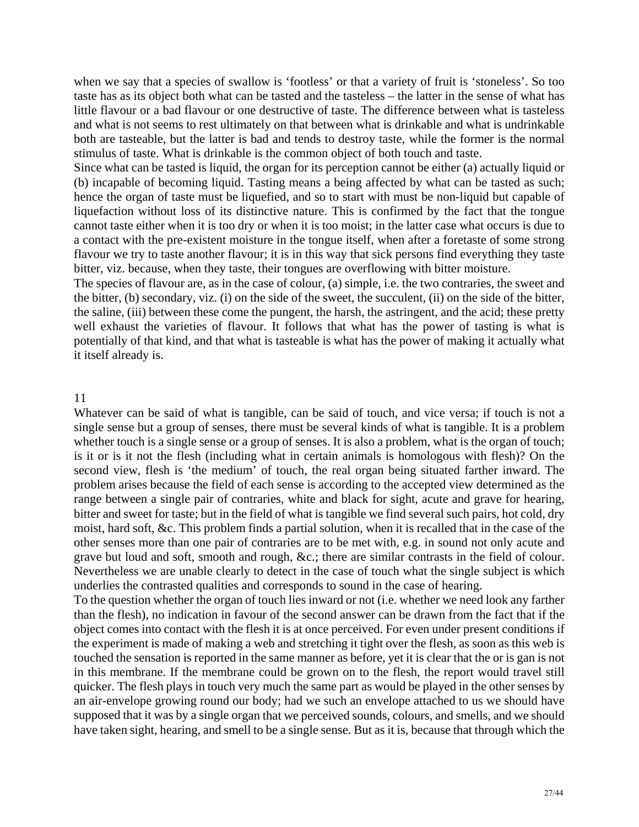when we say that a species of swallow is 'footless' or that a variety of fruit is 'stoneless'. So too taste has as its object both what can be tasted and the tasteless – the latter in the sense of what has little flavour or a bad flavour or one destructive of taste. The difference between what is tasteless and what is not seems to rest ultimately on that between what is drinkable and what is undrinkable both are tasteable, but the latter is bad and tends to destroy taste, while the former is the normal stimulus of taste. What is drinkable is the common object of both touch and taste.

Since what can be tasted is liquid, the organ for its perception cannot be either (a) actually liquid or (b) incapable of becoming liquid. Tasting means a being affected by what can be tasted as such; hence the organ of taste must be liquefied, and so to start with must be non-liquid but capable of liquefaction without loss of its distinctive nature. This is confirmed by the fact that the tongue cannot taste either when it is too dry or when it is too moist; in the latter case what occurs is due to a contact with the pre-existent moisture in the tongue itself, when after a foretaste of some strong flavour we try to taste another flavour; it is in this way that sick persons find everything they taste bitter, viz. because, when they taste, their tongues are overflowing with bitter moisture.

The species of flavour are, as in the case of colour, (a) simple, i.e. the two contraries, the sweet and the bitter, (b) secondary, viz. (i) on the side of the sweet, the succulent, (ii) on the side of the bitter, the saline, (iii) between these come the pungent, the harsh, the astringent, and the acid; these pretty well exhaust the varieties of flavour. It follows that what has the power of tasting is what is potentially of that kind, and that what is tasteable is what has the power of making it actually what it itself already is.

### 11

range between a single pair of contraries, white and black for sight, acute and grave for hearing, Whatever can be said of what is tangible, can be said of touch, and vice versa; if touch is not a single sense but a group of senses, there must be several kinds of what is tangible. It is a problem whether touch is a single sense or a group of senses. It is also a problem, what is the organ of touch; is it or is it not the flesh (including what in certain animals is homologous with flesh)? On the second view, flesh is 'the medium' of touch, the real organ being situated farther inward. The problem arises because the field of each sense is according to the accepted view determined as the bitter and sweet for taste; but in the field of what is tangible we find several such pairs, hot cold, dry moist, hard soft, &c. This problem finds a partial solution, when it is recalled that in the case of the other senses more than one pair of contraries are to be met with, e.g. in sound not only acute and grave but loud and soft, smooth and rough, &c.; there are similar contrasts in the field of colour. Nevertheless we are unable clearly to detect in the case of touch what the single subject is which underlies the contrasted qualities and corresponds to sound in the case of hearing.

object comes into contact with the flesh it is at once perceived. For even under present conditions if supposed that it was by a single organ that we perceived sounds, colours, and smells, and we should have taken sight, hearing, and smell to be a single sense. But as it is, because that through which the To the question whether the organ of touch lies inward or not (i.e. whether we need look any farther than the flesh), no indication in favour of the second answer can be drawn from the fact that if the the experiment is made of making a web and stretching it tight over the flesh, as soon as this web is touched the sensation is reported in the same manner as before, yet it is clear that the or is gan is not in this membrane. If the membrane could be grown on to the flesh, the report would travel still quicker. The flesh plays in touch very much the same part as would be played in the other senses by an air-envelope growing round our body; had we such an envelope attached to us we should have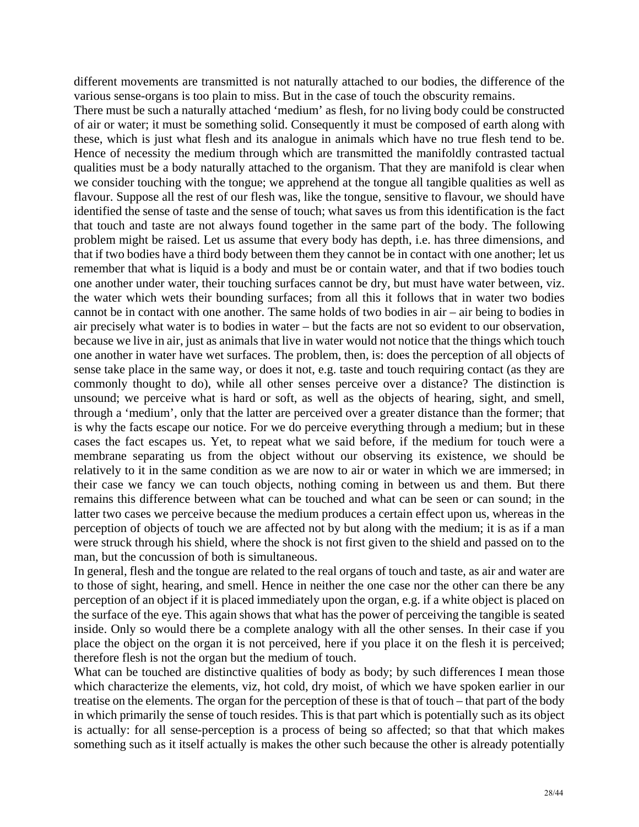different movements are transmitted is not naturally attached to our bodies, the difference of the various sense-organs is too plain to miss. But in the case of touch the obscurity remains.

one another under water, their touching surfaces cannot be dry, but must have water between, viz. relatively to it in the same condition as we are now to air or water in which we are immersed; in There must be such a naturally attached 'medium' as flesh, for no living body could be constructed of air or water; it must be something solid. Consequently it must be composed of earth along with these, which is just what flesh and its analogue in animals which have no true flesh tend to be. Hence of necessity the medium through which are transmitted the manifoldly contrasted tactual qualities must be a body naturally attached to the organism. That they are manifold is clear when we consider touching with the tongue; we apprehend at the tongue all tangible qualities as well as flavour. Suppose all the rest of our flesh was, like the tongue, sensitive to flavour, we should have identified the sense of taste and the sense of touch; what saves us from this identification is the fact that touch and taste are not always found together in the same part of the body. The following problem might be raised. Let us assume that every body has depth, i.e. has three dimensions, and that if two bodies have a third body between them they cannot be in contact with one another; let us remember that what is liquid is a body and must be or contain water, and that if two bodies touch the water which wets their bounding surfaces; from all this it follows that in water two bodies cannot be in contact with one another. The same holds of two bodies in air – air being to bodies in air precisely what water is to bodies in water – but the facts are not so evident to our observation, because we live in air, just as animals that live in water would not notice that the things which touch one another in water have wet surfaces. The problem, then, is: does the perception of all objects of sense take place in the same way, or does it not, e.g. taste and touch requiring contact (as they are commonly thought to do), while all other senses perceive over a distance? The distinction is unsound; we perceive what is hard or soft, as well as the objects of hearing, sight, and smell, through a 'medium', only that the latter are perceived over a greater distance than the former; that is why the facts escape our notice. For we do perceive everything through a medium; but in these cases the fact escapes us. Yet, to repeat what we said before, if the medium for touch were a membrane separating us from the object without our observing its existence, we should be their case we fancy we can touch objects, nothing coming in between us and them. But there remains this difference between what can be touched and what can be seen or can sound; in the latter two cases we perceive because the medium produces a certain effect upon us, whereas in the perception of objects of touch we are affected not by but along with the medium; it is as if a man were struck through his shield, where the shock is not first given to the shield and passed on to the man, but the concussion of both is simultaneous.

In general, flesh and the tongue are related to the real organs of touch and taste, as air and water are to those of sight, hearing, and smell. Hence in neither the one case nor the other can there be any perception of an object if it is placed immediately upon the organ, e.g. if a white object is placed on the surface of the eye. This again shows that what has the power of perceiving the tangible is seated inside. Only so would there be a complete analogy with all the other senses. In their case if you place the object on the organ it is not perceived, here if you place it on the flesh it is perceived; therefore flesh is not the organ but the medium of touch.

What can be touched are distinctive qualities of body as body; by such differences I mean those which characterize the elements, viz, hot cold, dry moist, of which we have spoken earlier in our treatise on the elements. The organ for the perception of these is that of touch – that part of the body in which primarily the sense of touch resides. This is that part which is potentially such as its object is actually: for all sense-perception is a process of being so affected; so that that which makes something such as it itself actually is makes the other such because the other is already potentially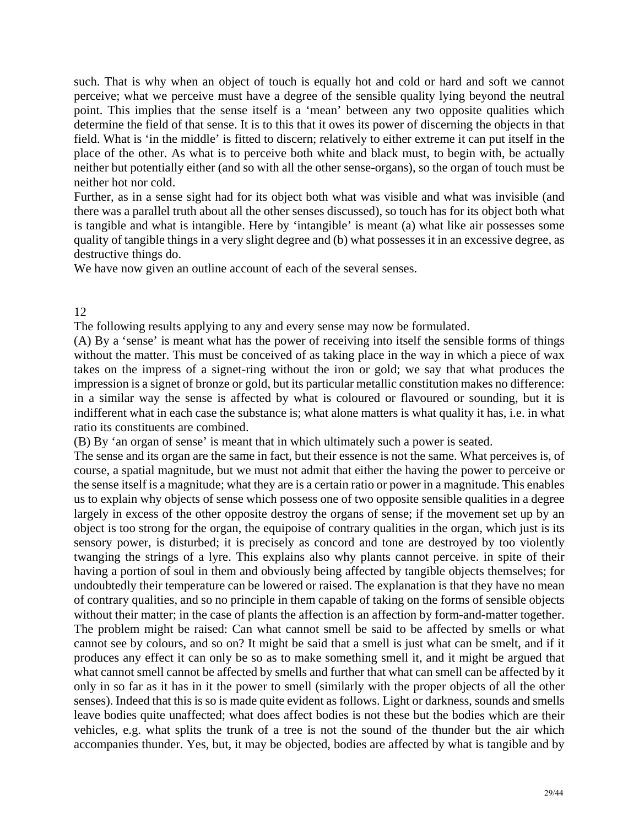such. That is why when an object of touch is equally hot and cold or hard and soft we cannot perceive; what we perceive must have a degree of the sensible quality lying beyond the neutral point. This implies that the sense itself is a 'mean' between any two opposite qualities which determine the field of that sense. It is to this that it owes its power of discerning the objects in that field. What is 'in the middle' is fitted to discern; relatively to either extreme it can put itself in the place of the other. As what is to perceive both white and black must, to begin with, be actually neither but potentially either (and so with all the other sense-organs), so the organ of touch must be neither hot nor cold.

Further, as in a sense sight had for its object both what was visible and what was invisible (and there was a parallel truth about all the other senses discussed), so touch has for its object both what is tangible and what is intangible. Here by 'intangible' is meant (a) what like air possesses some quality of tangible things in a very slight degree and (b) what possesses it in an excessive degree, as destructive things do.

We have now given an outline account of each of the several senses.

12

The following results applying to any and every sense may now be formulated.

takes on the impress of a signet-ring without the iron or gold; we say that what produces the (A) By a 'sense' is meant what has the power of receiving into itself the sensible forms of things without the matter. This must be conceived of as taking place in the way in which a piece of wax impression is a signet of bronze or gold, but its particular metallic constitution makes no difference: in a similar way the sense is affected by what is coloured or flavoured or sounding, but it is indifferent what in each case the substance is; what alone matters is what quality it has, i.e. in what ratio its constituents are combined.

(B) By 'an organ of sense' is meant that in which ultimately such a power is seated.

having a portion of soul in them and obviously being affected by tangible objects themselves; for cannot see by colours, and so on? It might be said that a smell is just what can be smelt, and if it produces any effect it can only be so as to make something smell it, and it might be argued that what cannot smell cannot be affected by smells and further that what can smell can be affected by it only in so far as it has in it the power to smell (similarly with the proper objects of all the other senses). Indeed that this is so is made quite evident as follows. Light or darkness, sounds and smells leave bodies quite unaffected; what does affect bodies is not these but the bodies which are their The sense and its organ are the same in fact, but their essence is not the same. What perceives is, of course, a spatial magnitude, but we must not admit that either the having the power to perceive or the sense itself is a magnitude; what they are is a certain ratio or power in a magnitude. This enables us to explain why objects of sense which possess one of two opposite sensible qualities in a degree largely in excess of the other opposite destroy the organs of sense; if the movement set up by an object is too strong for the organ, the equipoise of contrary qualities in the organ, which just is its sensory power, is disturbed; it is precisely as concord and tone are destroyed by too violently twanging the strings of a lyre. This explains also why plants cannot perceive. in spite of their undoubtedly their temperature can be lowered or raised. The explanation is that they have no mean of contrary qualities, and so no principle in them capable of taking on the forms of sensible objects without their matter; in the case of plants the affection is an affection by form-and-matter together. The problem might be raised: Can what cannot smell be said to be affected by smells or what vehicles, e.g. what splits the trunk of a tree is not the sound of the thunder but the air which accompanies thunder. Yes, but, it may be objected, bodies are affected by what is tangible and by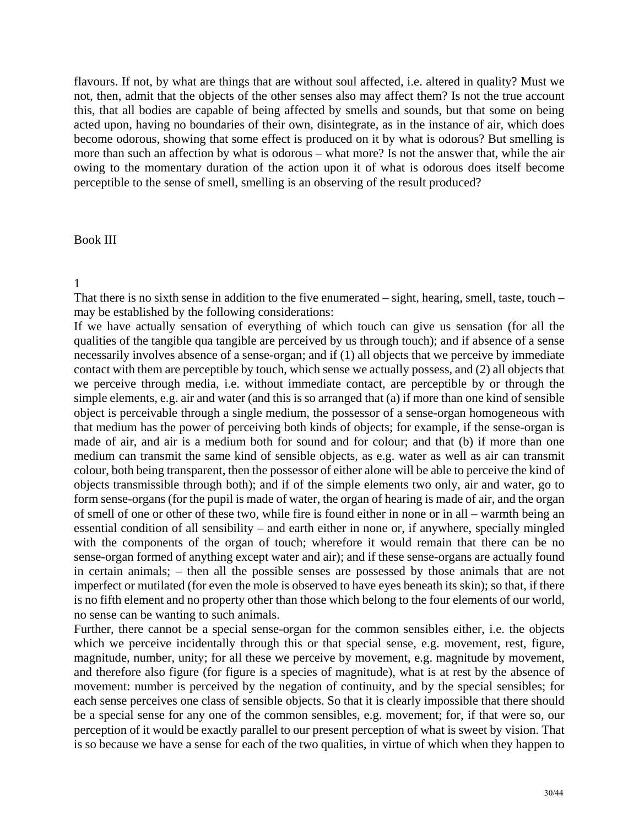flavours. If not, by what are things that are without soul affected, i.e. altered in quality? Must we not, then, admit that the objects of the other senses also may affect them? Is not the true account this, that all bodies are capable of being affected by smells and sounds, but that some on being acted upon, having no boundaries of their own, disintegrate, as in the instance of air, which does become odorous, showing that some effect is produced on it by what is odorous? But smelling is more than such an affection by what is odorous – what more? Is not the answer that, while the air owing to the momentary duration of the action upon it of what is odorous does itself become perceptible to the sense of smell, smelling is an observing of the result produced?

### Book III

### 1

That there is no sixth sense in addition to the five enumerated – sight, hearing, smell, taste, touch – may be established by the following considerations:

imperfect or mutilated (for even the mole is observed to have eyes beneath its skin); so that, if there is no fifth element and no property other than those which belong to the four elements of our world, no sense can be wanting to such animals. If we have actually sensation of everything of which touch can give us sensation (for all the qualities of the tangible qua tangible are perceived by us through touch); and if absence of a sense necessarily involves absence of a sense-organ; and if (1) all objects that we perceive by immediate contact with them are perceptible by touch, which sense we actually possess, and (2) all objects that we perceive through media, i.e. without immediate contact, are perceptible by or through the simple elements, e.g. air and water (and this is so arranged that (a) if more than one kind of sensible object is perceivable through a single medium, the possessor of a sense-organ homogeneous with that medium has the power of perceiving both kinds of objects; for example, if the sense-organ is made of air, and air is a medium both for sound and for colour; and that (b) if more than one medium can transmit the same kind of sensible objects, as e.g. water as well as air can transmit colour, both being transparent, then the possessor of either alone will be able to perceive the kind of objects transmissible through both); and if of the simple elements two only, air and water, go to form sense-organs (for the pupil is made of water, the organ of hearing is made of air, and the organ of smell of one or other of these two, while fire is found either in none or in all – warmth being an essential condition of all sensibility – and earth either in none or, if anywhere, specially mingled with the components of the organ of touch; wherefore it would remain that there can be no sense-organ formed of anything except water and air); and if these sense-organs are actually found in certain animals; – then all the possible senses are possessed by those animals that are not

Further, there cannot be a special sense-organ for the common sensibles either, i.e. the objects which we perceive incidentally through this or that special sense, e.g. movement, rest, figure, magnitude, number, unity; for all these we perceive by movement, e.g. magnitude by movement, and therefore also figure (for figure is a species of magnitude), what is at rest by the absence of movement: number is perceived by the negation of continuity, and by the special sensibles; for be a special sense for any one of the common sensibles, e.g. movement; for, if that were so, our each sense perceives one class of sensible objects. So that it is clearly impossible that there should perception of it would be exactly parallel to our present perception of what is sweet by vision. That is so because we have a sense for each of the two qualities, in virtue of which when they happen to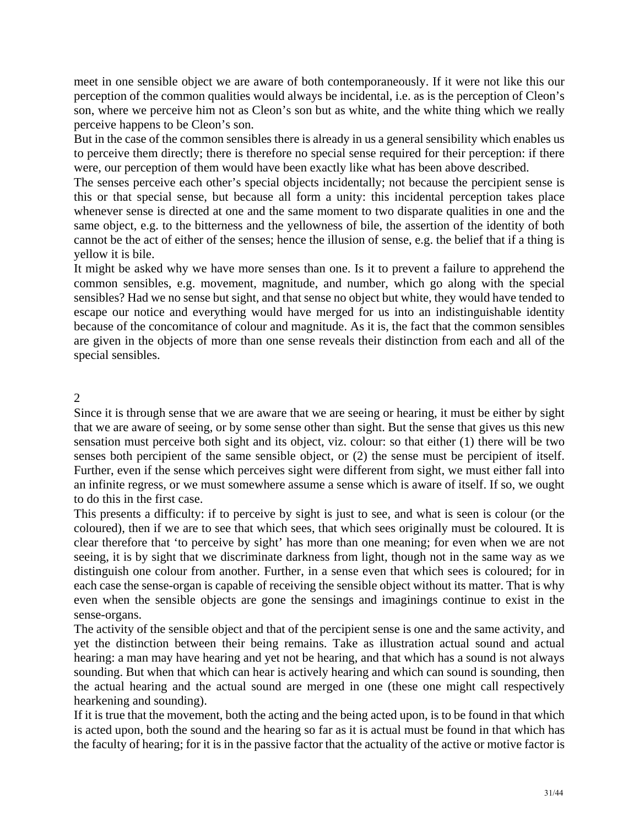meet in one sensible object we are aware of both contemporaneously. If it were not like this our perception of the common qualities would always be incidental, i.e. as is the perception of Cleon's son, where we perceive him not as Cleon's son but as white, and the white thing which we really perceive happens to be Cleon's son.

But in the case of the common sensibles there is already in us a general sensibility which enables us to perceive them directly; there is therefore no special sense required for their perception: if there were, our perception of them would have been exactly like what has been above described.

The senses perceive each other's special objects incidentally; not because the percipient sense is this or that special sense, but because all form a unity: this incidental perception takes place whenever sense is directed at one and the same moment to two disparate qualities in one and the same object, e.g. to the bitterness and the yellowness of bile, the assertion of the identity of both cannot be the act of either of the senses; hence the illusion of sense, e.g. the belief that if a thing is yellow it is bile.

It might be asked why we have more senses than one. Is it to prevent a failure to apprehend the common sensibles, e.g. movement, magnitude, and number, which go along with the special sensibles? Had we no sense but sight, and that sense no object but white, they would have tended to escape our notice and everything would have merged for us into an indistinguishable identity because of the concomitance of colour and magnitude. As it is, the fact that the common sensibles are given in the objects of more than one sense reveals their distinction from each and all of the special sensibles.

# 2

Since it is through sense that we are aware that we are seeing or hearing, it must be either by sight that we are aware of seeing, or by some sense other than sight. But the sense that gives us this new sensation must perceive both sight and its object, viz. colour: so that either (1) there will be two senses both percipient of the same sensible object, or (2) the sense must be percipient of itself. Further, even if the sense which perceives sight were different from sight, we must either fall into an infinite regress, or we must somewhere assume a sense which is aware of itself. If so, we ought to do this in the first case.

coloured), then if we are to see that which sees, that which sees originally must be coloured. It is This presents a difficulty: if to perceive by sight is just to see, and what is seen is colour (or the clear therefore that 'to perceive by sight' has more than one meaning; for even when we are not seeing, it is by sight that we discriminate darkness from light, though not in the same way as we distinguish one colour from another. Further, in a sense even that which sees is coloured; for in each case the sense-organ is capable of receiving the sensible object without its matter. That is why even when the sensible objects are gone the sensings and imaginings continue to exist in the sense-organs.

hearing: a man may have hearing and yet not be hearing, and that which has a sound is not always The activity of the sensible object and that of the percipient sense is one and the same activity, and yet the distinction between their being remains. Take as illustration actual sound and actual sounding. But when that which can hear is actively hearing and which can sound is sounding, then the actual hearing and the actual sound are merged in one (these one might call respectively hearkening and sounding).

the faculty of hearing; for it is in the passive factor that the actuality of the active or motive factor is If it is true that the movement, both the acting and the being acted upon, is to be found in that which is acted upon, both the sound and the hearing so far as it is actual must be found in that which has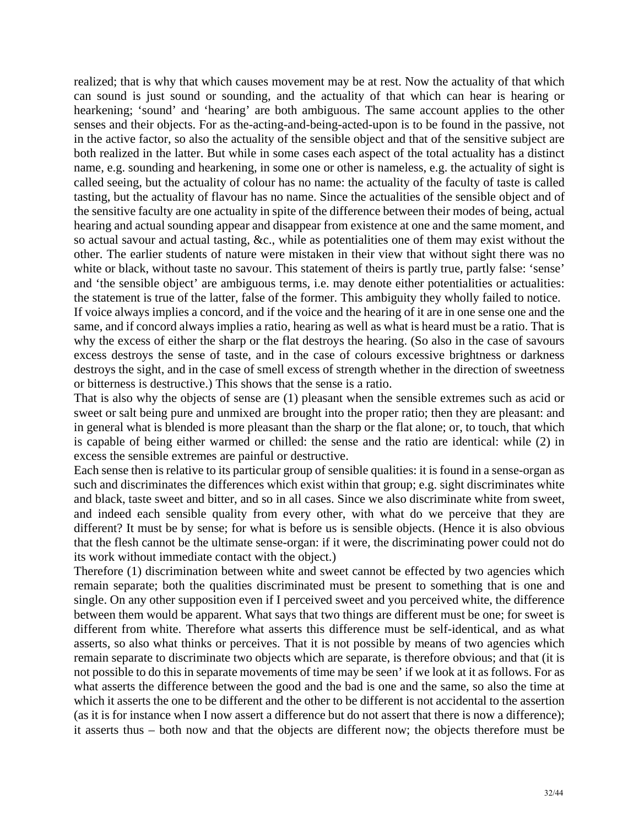realized; that is why that which causes movement may be at rest. Now the actuality of that which can sound is just sound or sounding, and the actuality of that which can hear is hearing or hearkening; 'sound' and 'hearing' are both ambiguous. The same account applies to the other senses and their objects. For as the-acting-and-being-acted-upon is to be found in the passive, not in the active factor, so also the actuality of the sensible object and that of the sensitive subject are so actual savour and actual tasting, &c., while as potentialities one of them may exist without the excess destroys the sense of taste, and in the case of colours excessive brightness or darkness both realized in the latter. But while in some cases each aspect of the total actuality has a distinct name, e.g. sounding and hearkening, in some one or other is nameless, e.g. the actuality of sight is called seeing, but the actuality of colour has no name: the actuality of the faculty of taste is called tasting, but the actuality of flavour has no name. Since the actualities of the sensible object and of the sensitive faculty are one actuality in spite of the difference between their modes of being, actual hearing and actual sounding appear and disappear from existence at one and the same moment, and other. The earlier students of nature were mistaken in their view that without sight there was no white or black, without taste no savour. This statement of theirs is partly true, partly false: 'sense' and 'the sensible object' are ambiguous terms, i.e. may denote either potentialities or actualities: the statement is true of the latter, false of the former. This ambiguity they wholly failed to notice. If voice always implies a concord, and if the voice and the hearing of it are in one sense one and the same, and if concord always implies a ratio, hearing as well as what is heard must be a ratio. That is why the excess of either the sharp or the flat destroys the hearing. (So also in the case of savours destroys the sight, and in the case of smell excess of strength whether in the direction of sweetness or bitterness is destructive.) This shows that the sense is a ratio.

is capable of being either warmed or chilled: the sense and the ratio are identical: while (2) in That is also why the objects of sense are (1) pleasant when the sensible extremes such as acid or sweet or salt being pure and unmixed are brought into the proper ratio; then they are pleasant: and in general what is blended is more pleasant than the sharp or the flat alone; or, to touch, that which excess the sensible extremes are painful or destructive.

Each sense then is relative to its particular group of sensible qualities: it is found in a sense-organ as such and discriminates the differences which exist within that group; e.g. sight discriminates white and black, taste sweet and bitter, and so in all cases. Since we also discriminate white from sweet, and indeed each sensible quality from every other, with what do we perceive that they are different? It must be by sense; for what is before us is sensible objects. (Hence it is also obvious that the flesh cannot be the ultimate sense-organ: if it were, the discriminating power could not do its work without immediate contact with the object.)

it asserts thus – both now and that the objects are different now; the objects therefore must be Therefore (1) discrimination between white and sweet cannot be effected by two agencies which remain separate; both the qualities discriminated must be present to something that is one and single. On any other supposition even if I perceived sweet and you perceived white, the difference between them would be apparent. What says that two things are different must be one; for sweet is different from white. Therefore what asserts this difference must be self-identical, and as what asserts, so also what thinks or perceives. That it is not possible by means of two agencies which remain separate to discriminate two objects which are separate, is therefore obvious; and that (it is not possible to do this in separate movements of time may be seen' if we look at it as follows. For as what asserts the difference between the good and the bad is one and the same, so also the time at which it asserts the one to be different and the other to be different is not accidental to the assertion (as it is for instance when I now assert a difference but do not assert that there is now a difference);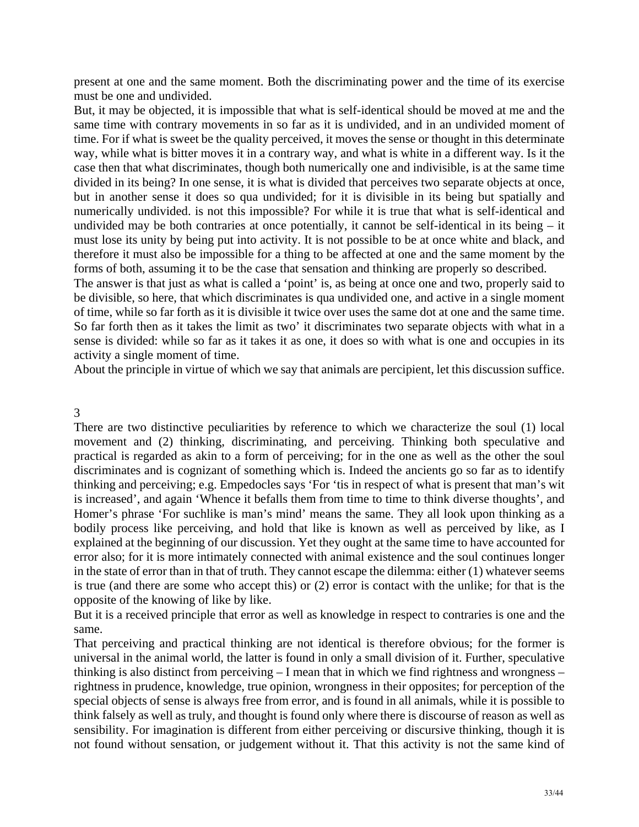present at one and the same moment. Both the discriminating power and the time of its exercise must be one and undivided.

But, it may be objected, it is impossible that what is self-identical should be moved at me and the same time with contrary movements in so far as it is undivided, and in an undivided moment of time. For if what is sweet be the quality perceived, it moves the sense or thought in this determinate way, while what is bitter moves it in a contrary way, and what is white in a different way. Is it the undivided may be both contraries at once potentially, it cannot be self-identical in its being  $-$  it case then that what discriminates, though both numerically one and indivisible, is at the same time divided in its being? In one sense, it is what is divided that perceives two separate objects at once, but in another sense it does so qua undivided; for it is divisible in its being but spatially and numerically undivided. is not this impossible? For while it is true that what is self-identical and must lose its unity by being put into activity. It is not possible to be at once white and black, and therefore it must also be impossible for a thing to be affected at one and the same moment by the forms of both, assuming it to be the case that sensation and thinking are properly so described.

So far forth then as it takes the limit as two' it discriminates two separate objects with what in a The answer is that just as what is called a 'point' is, as being at once one and two, properly said to be divisible, so here, that which discriminates is qua undivided one, and active in a single moment of time, while so far forth as it is divisible it twice over uses the same dot at one and the same time. sense is divided: while so far as it takes it as one, it does so with what is one and occupies in its activity a single moment of time.

About the principle in virtue of which we say that animals are percipient, let this discussion suffice.

# 3

bodily process like perceiving, and hold that like is known as well as perceived by like, as I There are two distinctive peculiarities by reference to which we characterize the soul (1) local movement and (2) thinking, discriminating, and perceiving. Thinking both speculative and practical is regarded as akin to a form of perceiving; for in the one as well as the other the soul discriminates and is cognizant of something which is. Indeed the ancients go so far as to identify thinking and perceiving; e.g. Empedocles says 'For 'tis in respect of what is present that man's wit is increased', and again 'Whence it befalls them from time to time to think diverse thoughts', and Homer's phrase 'For suchlike is man's mind' means the same. They all look upon thinking as a explained at the beginning of our discussion. Yet they ought at the same time to have accounted for error also; for it is more intimately connected with animal existence and the soul continues longer in the state of error than in that of truth. They cannot escape the dilemma: either (1) whatever seems is true (and there are some who accept this) or (2) error is contact with the unlike; for that is the opposite of the knowing of like by like.

But it is a received principle that error as well as knowledge in respect to contraries is one and the same.

think falsely as well as truly, and thought is found only where there is discourse of reason as well as That perceiving and practical thinking are not identical is therefore obvious; for the former is universal in the animal world, the latter is found in only a small division of it. Further, speculative thinking is also distinct from perceiving – I mean that in which we find rightness and wrongness – rightness in prudence, knowledge, true opinion, wrongness in their opposites; for perception of the special objects of sense is always free from error, and is found in all animals, while it is possible to sensibility. For imagination is different from either perceiving or discursive thinking, though it is not found without sensation, or judgement without it. That this activity is not the same kind of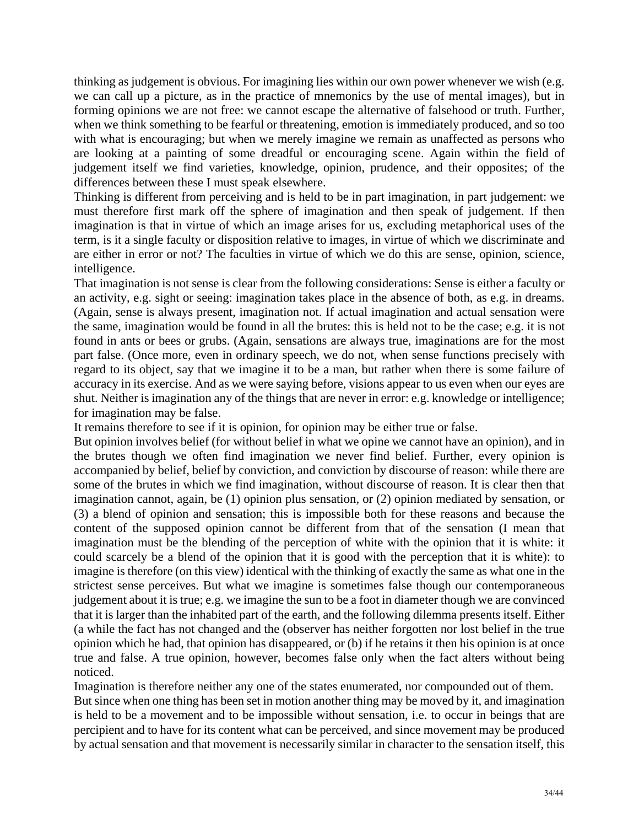thinking as judgement is obvious. For imagining lies within our own power whenever we wish (e.g. we can call up a picture, as in the practice of mnemonics by the use of mental images), but in forming opinions we are not free: we cannot escape the alternative of falsehood or truth. Further, when we think something to be fearful or threatening, emotion is immediately produced, and so too are looking at a painting of some dreadful or encouraging scene. Again within the field of judgement itself we find varieties, knowledge, opinion, prudence, and their opposites; of the differences between these I must speak elsewhere. with what is encouraging; but when we merely imagine we remain as unaffected as persons who

Thinking is different from perceiving and is held to be in part imagination, in part judgement: we must therefore first mark off the sphere of imagination and then speak of judgement. If then imagination is that in virtue of which an image arises for us, excluding metaphorical uses of the term, is it a single faculty or disposition relative to images, in virtue of which we discriminate and are either in error or not? The faculties in virtue of which we do this are sense, opinion, science, intelligence.

accuracy in its exercise. And as we were saying before, visions appear to us even when our eyes are for imagination may be false. That imagination is not sense is clear from the following considerations: Sense is either a faculty or an activity, e.g. sight or seeing: imagination takes place in the absence of both, as e.g. in dreams. (Again, sense is always present, imagination not. If actual imagination and actual sensation were the same, imagination would be found in all the brutes: this is held not to be the case; e.g. it is not found in ants or bees or grubs. (Again, sensations are always true, imaginations are for the most part false. (Once more, even in ordinary speech, we do not, when sense functions precisely with regard to its object, say that we imagine it to be a man, but rather when there is some failure of shut. Neither is imagination any of the things that are never in error: e.g. knowledge or intelligence;

It remains therefore to see if it is opinion, for opinion may be either true or false.

But opinion involves belief (for without belief in what we opine we cannot have an opinion), and in the brutes though we often find imagination we never find belief. Further, every opinion is accompanied by belief, belief by conviction, and conviction by discourse of reason: while there are some of the brutes in which we find imagination, without discourse of reason. It is clear then that imagination cannot, again, be (1) opinion plus sensation, or (2) opinion mediated by sensation, or (3) a blend of opinion and sensation; this is impossible both for these reasons and because the content of the supposed opinion cannot be different from that of the sensation (I mean that imagination must be the blending of the perception of white with the opinion that it is white: it could scarcely be a blend of the opinion that it is good with the perception that it is white): to imagine is therefore (on this view) identical with the thinking of exactly the same as what one in the strictest sense perceives. But what we imagine is sometimes false though our contemporaneous judgement about it is true; e.g. we imagine the sun to be a foot in diameter though we are convinced that it is larger than the inhabited part of the earth, and the following dilemma presents itself. Either (a while the fact has not changed and the (observer has neither forgotten nor lost belief in the true opinion which he had, that opinion has disappeared, or (b) if he retains it then his opinion is at once true and false. A true opinion, however, becomes false only when the fact alters without being noticed.

percipient and to have for its content what can be perceived, and since movement may be produced by actual sensation and that movement is necessarily similar in character to the sensation itself, this Imagination is therefore neither any one of the states enumerated, nor compounded out of them. But since when one thing has been set in motion another thing may be moved by it, and imagination is held to be a movement and to be impossible without sensation, i.e. to occur in beings that are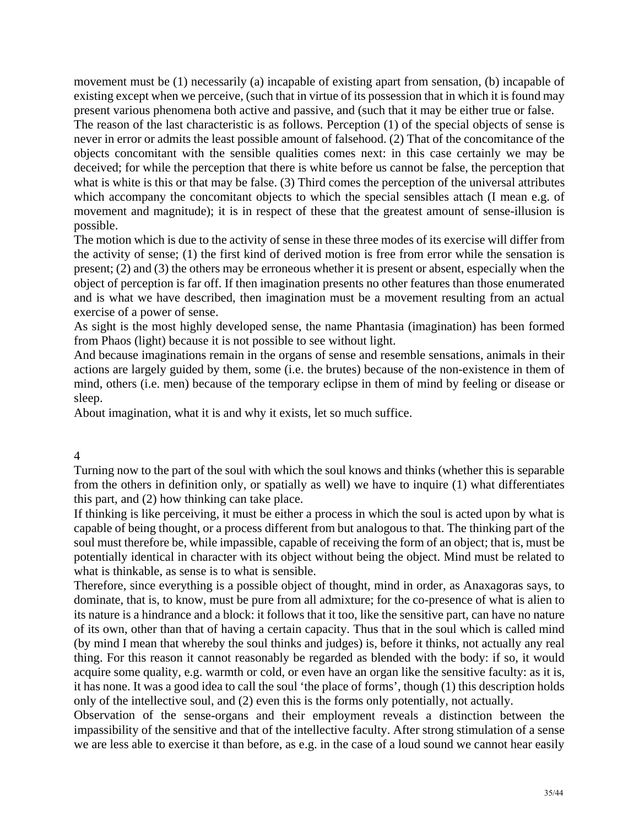movement must be (1) necessarily (a) incapable of existing apart from sensation, (b) incapable of existing except when we perceive, (such that in virtue of its possession that in which it is found may present various phenomena both active and passive, and (such that it may be either true or false.

The reason of the last characteristic is as follows. Perception (1) of the special objects of sense is never in error or admits the least possible amount of falsehood. (2) That of the concomitance of the objects concomitant with the sensible qualities comes next: in this case certainly we may be deceived; for while the perception that there is white before us cannot be false, the perception that what is white is this or that may be false. (3) Third comes the perception of the universal attributes which accompany the concomitant objects to which the special sensibles attach (I mean e.g. of movement and magnitude); it is in respect of these that the greatest amount of sense-illusion is possible.

The motion which is due to the activity of sense in these three modes of its exercise will differ from the activity of sense; (1) the first kind of derived motion is free from error while the sensation is present; (2) and (3) the others may be erroneous whether it is present or absent, especially when the object of perception is far off. If then imagination presents no other features than those enumerated and is what we have described, then imagination must be a movement resulting from an actual exercise of a power of sense.

As sight is the most highly developed sense, the name Phantasia (imagination) has been formed from Phaos (light) because it is not possible to see without light.

And because imaginations remain in the organs of sense and resemble sensations, animals in their actions are largely guided by them, some (i.e. the brutes) because of the non-existence in them of mind, others (i.e. men) because of the temporary eclipse in them of mind by feeling or disease or sleep.

About imagination, what it is and why it exists, let so much suffice.

4

Turning now to the part of the soul with which the soul knows and thinks (whether this is separable from the others in definition only, or spatially as well) we have to inquire (1) what differentiates this part, and (2) how thinking can take place.

If thinking is like perceiving, it must be either a process in which the soul is acted upon by what is capable of being thought, or a process different from but analogous to that. The thinking part of the soul must therefore be, while impassible, capable of receiving the form of an object; that is, must be potentially identical in character with its object without being the object. Mind must be related to what is thinkable, as sense is to what is sensible.

dominate, that is, to know, must be pure from all admixture; for the co-presence of what is alien to Therefore, since everything is a possible object of thought, mind in order, as Anaxagoras says, to its nature is a hindrance and a block: it follows that it too, like the sensitive part, can have no nature of its own, other than that of having a certain capacity. Thus that in the soul which is called mind (by mind I mean that whereby the soul thinks and judges) is, before it thinks, not actually any real thing. For this reason it cannot reasonably be regarded as blended with the body: if so, it would acquire some quality, e.g. warmth or cold, or even have an organ like the sensitive faculty: as it is, it has none. It was a good idea to call the soul 'the place of forms', though (1) this description holds only of the intellective soul, and (2) even this is the forms only potentially, not actually.

Observation of the sense-organs and their employment reveals a distinction between the impassibility of the sensitive and that of the intellective faculty. After strong stimulation of a sense we are less able to exercise it than before, as e.g. in the case of a loud sound we cannot hear easily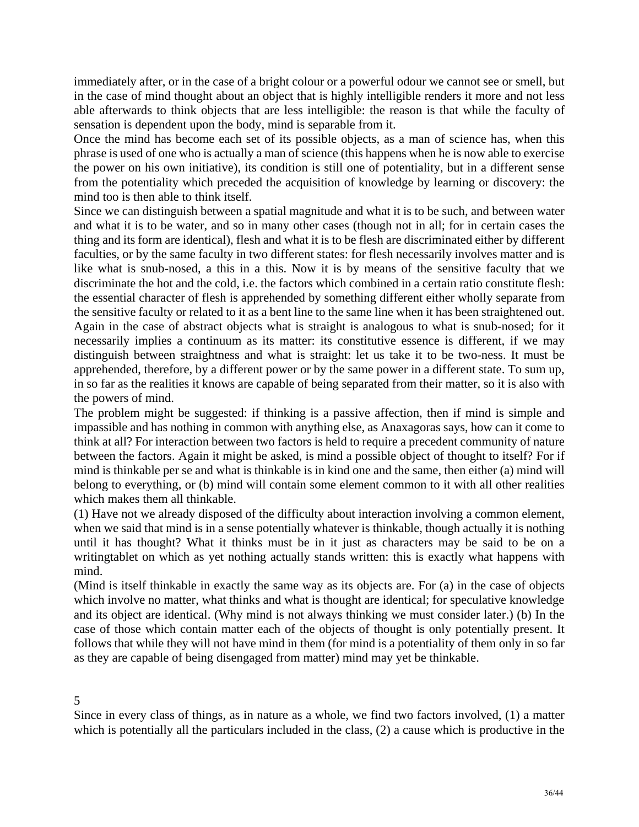immediately after, or in the case of a bright colour or a powerful odour we cannot see or smell, but in the case of mind thought about an object that is highly intelligible renders it more and not less able afterwards to think objects that are less intelligible: the reason is that while the faculty of sensation is dependent upon the body, mind is separable from it.

phrase is used of one who is actually a man of science (this happens when he is now able to exercise Once the mind has become each set of its possible objects, as a man of science has, when this the power on his own initiative), its condition is still one of potentiality, but in a different sense from the potentiality which preceded the acquisition of knowledge by learning or discovery: the mind too is then able to think itself.

Since we can distinguish between a spatial magnitude and what it is to be such, and between water and what it is to be water, and so in many other cases (though not in all; for in certain cases the thing and its form are identical), flesh and what it is to be flesh are discriminated either by different faculties, or by the same faculty in two different states: for flesh necessarily involves matter and is like what is snub-nosed, a this in a this. Now it is by means of the sensitive faculty that we the sensitive faculty or related to it as a bent line to the same line when it has been straightened out. in so far as the realities it knows are capable of being separated from their matter, so it is also with discriminate the hot and the cold, i.e. the factors which combined in a certain ratio constitute flesh: the essential character of flesh is apprehended by something different either wholly separate from Again in the case of abstract objects what is straight is analogous to what is snub-nosed; for it necessarily implies a continuum as its matter: its constitutive essence is different, if we may distinguish between straightness and what is straight: let us take it to be two-ness. It must be apprehended, therefore, by a different power or by the same power in a different state. To sum up, the powers of mind.

The problem might be suggested: if thinking is a passive affection, then if mind is simple and impassible and has nothing in common with anything else, as Anaxagoras says, how can it come to think at all? For interaction between two factors is held to require a precedent community of nature between the factors. Again it might be asked, is mind a possible object of thought to itself? For if mind is thinkable per se and what is thinkable is in kind one and the same, then either (a) mind will belong to everything, or (b) mind will contain some element common to it with all other realities which makes them all thinkable.

when we said that mind is in a sense potentially whatever is thinkable, though actually it is nothing (1) Have not we already disposed of the difficulty about interaction involving a common element, until it has thought? What it thinks must be in it just as characters may be said to be on a writingtablet on which as yet nothing actually stands written: this is exactly what happens with mind.

case of those which contain matter each of the objects of thought is only potentially present. It (Mind is itself thinkable in exactly the same way as its objects are. For (a) in the case of objects which involve no matter, what thinks and what is thought are identical; for speculative knowledge and its object are identical. (Why mind is not always thinking we must consider later.) (b) In the follows that while they will not have mind in them (for mind is a potentiality of them only in so far as they are capable of being disengaged from matter) mind may yet be thinkable.

# 5

Since in every class of things, as in nature as a whole, we find two factors involved, (1) a matter which is potentially all the particulars included in the class, (2) a cause which is productive in the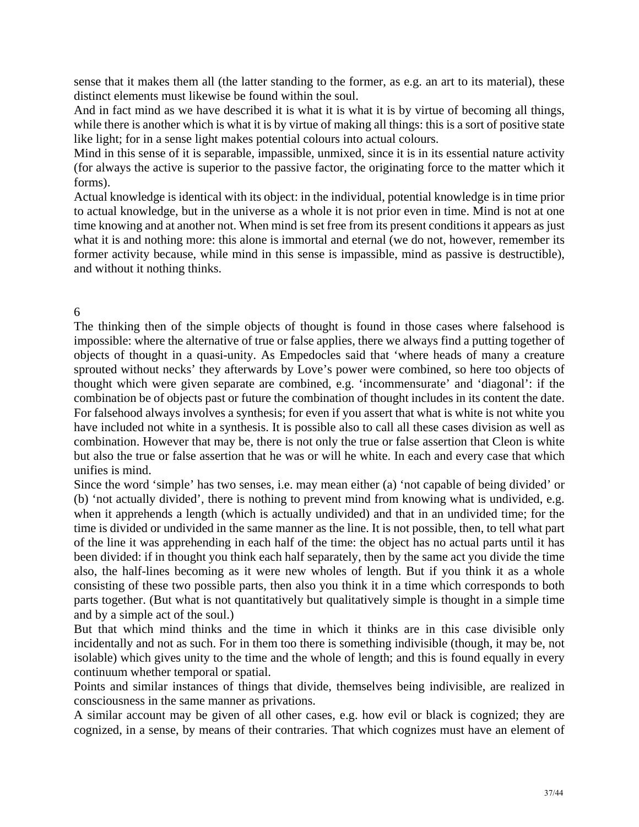sense that it makes them all (the latter standing to the former, as e.g. an art to its material), these distinct elements must likewise be found within the soul.

And in fact mind as we have described it is what it is what it is by virtue of becoming all things, while there is another which is what it is by virtue of making all things: this is a sort of positive state like light; for in a sense light makes potential colours into actual colours.

Mind in this sense of it is separable, impassible, unmixed, since it is in its essential nature activity (for always the active is superior to the passive factor, the originating force to the matter which it forms).

what it is and nothing more: this alone is immortal and eternal (we do not, however, remember its Actual knowledge is identical with its object: in the individual, potential knowledge is in time prior to actual knowledge, but in the universe as a whole it is not prior even in time. Mind is not at one time knowing and at another not. When mind is set free from its present conditions it appears as just former activity because, while mind in this sense is impassible, mind as passive is destructible), and without it nothing thinks.

6

impossible: where the alternative of true or false applies, there we always find a putting together of For falsehood always involves a synthesis; for even if you assert that what is white is not white you The thinking then of the simple objects of thought is found in those cases where falsehood is objects of thought in a quasi-unity. As Empedocles said that 'where heads of many a creature sprouted without necks' they afterwards by Love's power were combined, so here too objects of thought which were given separate are combined, e.g. 'incommensurate' and 'diagonal': if the combination be of objects past or future the combination of thought includes in its content the date. have included not white in a synthesis. It is possible also to call all these cases division as well as combination. However that may be, there is not only the true or false assertion that Cleon is white but also the true or false assertion that he was or will he white. In each and every case that which unifies is mind.

(b) 'not actually divided', there is nothing to prevent mind from knowing what is undivided, e.g. when it apprehends a length (which is actually undivided) and that in an undivided time; for the time is divided or undivided in the same manner as the line. It is not possible, then, to tell what part of the line it was apprehending in each half of the time: the object has no actual parts until it has parts together. (But what is not quantitatively but qualitatively simple is thought in a simple time Since the word 'simple' has two senses, i.e. may mean either (a) 'not capable of being divided' or been divided: if in thought you think each half separately, then by the same act you divide the time also, the half-lines becoming as it were new wholes of length. But if you think it as a whole consisting of these two possible parts, then also you think it in a time which corresponds to both and by a simple act of the soul.)

incidentally and not as such. For in them too there is something indivisible (though, it may be, not But that which mind thinks and the time in which it thinks are in this case divisible only isolable) which gives unity to the time and the whole of length; and this is found equally in every continuum whether temporal or spatial.

Points and similar instances of things that divide, themselves being indivisible, are realized in consciousness in the same manner as privations.

A similar account may be given of all other cases, e.g. how evil or black is cognized; they are cognized, in a sense, by means of their contraries. That which cognizes must have an element of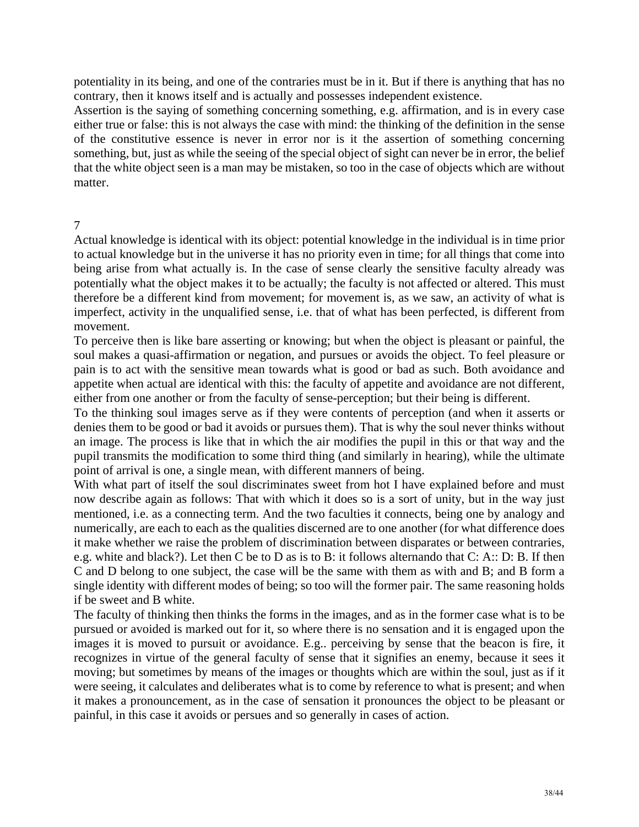potentiality in its being, and one of the contraries must be in it. But if there is anything that has no contrary, then it knows itself and is actually and possesses independent existence.

Assertion is the saying of something concerning something, e.g. affirmation, and is in every case either true or false: this is not always the case with mind: the thinking of the definition in the sense of the constitutive essence is never in error nor is it the assertion of something concerning something, but, just as while the seeing of the special object of sight can never be in error, the belief that the white object seen is a man may be mistaken, so too in the case of objects which are without matter.

# 7

therefore be a different kind from movement; for movement is, as we saw, an activity of what is Actual knowledge is identical with its object: potential knowledge in the individual is in time prior to actual knowledge but in the universe it has no priority even in time; for all things that come into being arise from what actually is. In the case of sense clearly the sensitive faculty already was potentially what the object makes it to be actually; the faculty is not affected or altered. This must imperfect, activity in the unqualified sense, i.e. that of what has been perfected, is different from movement.

To perceive then is like bare asserting or knowing; but when the object is pleasant or painful, the soul makes a quasi-affirmation or negation, and pursues or avoids the object. To feel pleasure or pain is to act with the sensitive mean towards what is good or bad as such. Both avoidance and appetite when actual are identical with this: the faculty of appetite and avoidance are not different, either from one another or from the faculty of sense-perception; but their being is different.

an image. The process is like that in which the air modifies the pupil in this or that way and the To the thinking soul images serve as if they were contents of perception (and when it asserts or denies them to be good or bad it avoids or pursues them). That is why the soul never thinks without pupil transmits the modification to some third thing (and similarly in hearing), while the ultimate point of arrival is one, a single mean, with different manners of being.

now describe again as follows: That with which it does so is a sort of unity, but in the way just numerically, are each to each as the qualities discerned are to one another (for what difference does single identity with different modes of being; so too will the former pair. The same reasoning holds With what part of itself the soul discriminates sweet from hot I have explained before and must mentioned, i.e. as a connecting term. And the two faculties it connects, being one by analogy and it make whether we raise the problem of discrimination between disparates or between contraries, e.g. white and black?). Let then C be to D as is to B: it follows alternando that C: A:: D: B. If then C and D belong to one subject, the case will be the same with them as with and B; and B form a if be sweet and B white.

moving; but sometimes by means of the images or thoughts which are within the soul, just as if it were seeing, it calculates and deliberates what is to come by reference to what is present; and when it makes a pronouncement, as in the case of sensation it pronounces the object to be pleasant or painful, in this case it avoids or persues and so generally in cases of action. The faculty of thinking then thinks the forms in the images, and as in the former case what is to be pursued or avoided is marked out for it, so where there is no sensation and it is engaged upon the images it is moved to pursuit or avoidance. E.g.. perceiving by sense that the beacon is fire, it recognizes in virtue of the general faculty of sense that it signifies an enemy, because it sees it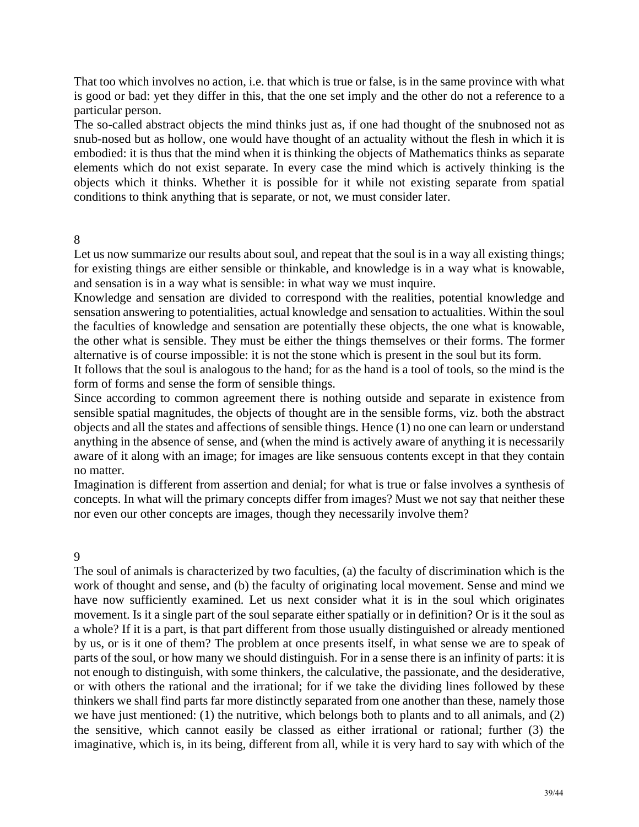That too which involves no action, i.e. that which is true or false, is in the same province with what is good or bad: yet they differ in this, that the one set imply and the other do not a reference to a particular person.

The so-called abstract objects the mind thinks just as, if one had thought of the snubnosed not as snub-nosed but as hollow, one would have thought of an actuality without the flesh in which it is embodied: it is thus that the mind when it is thinking the objects of Mathematics thinks as separate elements which do not exist separate. In every case the mind which is actively thinking is the objects which it thinks. Whether it is possible for it while not existing separate from spatial conditions to think anything that is separate, or not, we must consider later.

# 8

Let us now summarize our results about soul, and repeat that the soul is in a way all existing things; for existing things are either sensible or thinkable, and knowledge is in a way what is knowable, and sensation is in a way what is sensible: in what way we must inquire.

Knowledge and sensation are divided to correspond with the realities, potential knowledge and sensation answering to potentialities, actual knowledge and sensation to actualities. Within the soul the faculties of knowledge and sensation are potentially these objects, the one what is knowable, the other what is sensible. They must be either the things themselves or their forms. The former alternative is of course impossible: it is not the stone which is present in the soul but its form.

It follows that the soul is analogous to the hand; for as the hand is a tool of tools, so the mind is the form of forms and sense the form of sensible things.

objects and all the states and affections of sensible things. Hence (1) no one can learn or understand Since according to common agreement there is nothing outside and separate in existence from sensible spatial magnitudes, the objects of thought are in the sensible forms, viz. both the abstract anything in the absence of sense, and (when the mind is actively aware of anything it is necessarily aware of it along with an image; for images are like sensuous contents except in that they contain no matter.

Imagination is different from assertion and denial; for what is true or false involves a synthesis of concepts. In what will the primary concepts differ from images? Must we not say that neither these nor even our other concepts are images, though they necessarily involve them?

# 9

work of thought and sense, and (b) the faculty of originating local movement. Sense and mind we not enough to distinguish, with some thinkers, the calculative, the passionate, and the desiderative, or with others the rational and the irrational; for if we take the dividing lines followed by these thinkers we shall find parts far more distinctly separated from one another than these, namely those we have just mentioned: (1) the nutritive, which belongs both to plants and to all animals, and (2) the sensitive, which cannot easily be classed as either irrational or rational; further (3) the imaginative, which is, in its being, different from all, while it is very hard to say with which of the The soul of animals is characterized by two faculties, (a) the faculty of discrimination which is the have now sufficiently examined. Let us next consider what it is in the soul which originates movement. Is it a single part of the soul separate either spatially or in definition? Or is it the soul as a whole? If it is a part, is that part different from those usually distinguished or already mentioned by us, or is it one of them? The problem at once presents itself, in what sense we are to speak of parts of the soul, or how many we should distinguish. For in a sense there is an infinity of parts: it is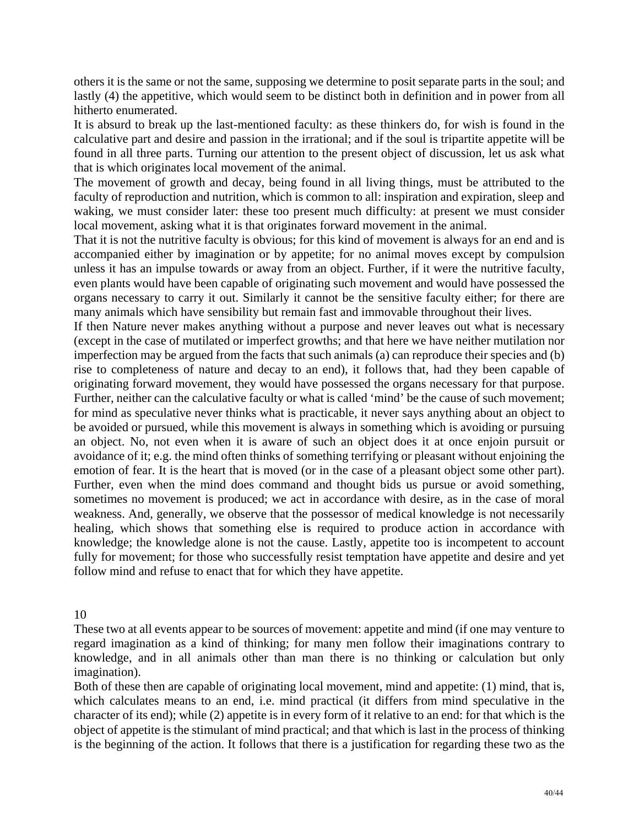others it is the same or not the same, supposing we determine to posit separate parts in the soul; and lastly (4) the appetitive, which would seem to be distinct both in definition and in power from all hitherto enumerated.

It is absurd to break up the last-mentioned faculty: as these thinkers do, for wish is found in the calculative part and desire and passion in the irrational; and if the soul is tripartite appetite will be found in all three parts. Turning our attention to the present object of discussion, let us ask what that is which originates local movement of the animal.

waking, we must consider later: these too present much difficulty: at present we must consider The movement of growth and decay, being found in all living things, must be attributed to the faculty of reproduction and nutrition, which is common to all: inspiration and expiration, sleep and local movement, asking what it is that originates forward movement in the animal.

That it is not the nutritive faculty is obvious; for this kind of movement is always for an end and is accompanied either by imagination or by appetite; for no animal moves except by compulsion unless it has an impulse towards or away from an object. Further, if it were the nutritive faculty, even plants would have been capable of originating such movement and would have possessed the organs necessary to carry it out. Similarly it cannot be the sensitive faculty either; for there are many animals which have sensibility but remain fast and immovable throughout their lives.

If then Nature never makes anything without a purpose and never leaves out what is necessary rise to completeness of nature and decay to an end), it follows that, had they been capable of originating forward movement, they would have possessed the organs necessary for that purpose. Further, neither can the calculative faculty or what is called 'mind' be the cause of such movement; for mind as speculative never thinks what is practicable, it never says anything about an object to (except in the case of mutilated or imperfect growths; and that here we have neither mutilation nor imperfection may be argued from the facts that such animals (a) can reproduce their species and (b) be avoided or pursued, while this movement is always in something which is avoiding or pursuing an object. No, not even when it is aware of such an object does it at once enjoin pursuit or avoidance of it; e.g. the mind often thinks of something terrifying or pleasant without enjoining the emotion of fear. It is the heart that is moved (or in the case of a pleasant object some other part). Further, even when the mind does command and thought bids us pursue or avoid something, sometimes no movement is produced; we act in accordance with desire, as in the case of moral weakness. And, generally, we observe that the possessor of medical knowledge is not necessarily healing, which shows that something else is required to produce action in accordance with knowledge; the knowledge alone is not the cause. Lastly, appetite too is incompetent to account fully for movement; for those who successfully resist temptation have appetite and desire and yet follow mind and refuse to enact that for which they have appetite.

# 10

regard imagination as a kind of thinking; for many men follow their imaginations contrary to These two at all events appear to be sources of movement: appetite and mind (if one may venture to knowledge, and in all animals other than man there is no thinking or calculation but only imagination).

which calculates means to an end, i.e. mind practical (it differs from mind speculative in the is the beginning of the action. It follows that there is a justification for regarding these two as the Both of these then are capable of originating local movement, mind and appetite: (1) mind, that is, character of its end); while (2) appetite is in every form of it relative to an end: for that which is the object of appetite is the stimulant of mind practical; and that which is last in the process of thinking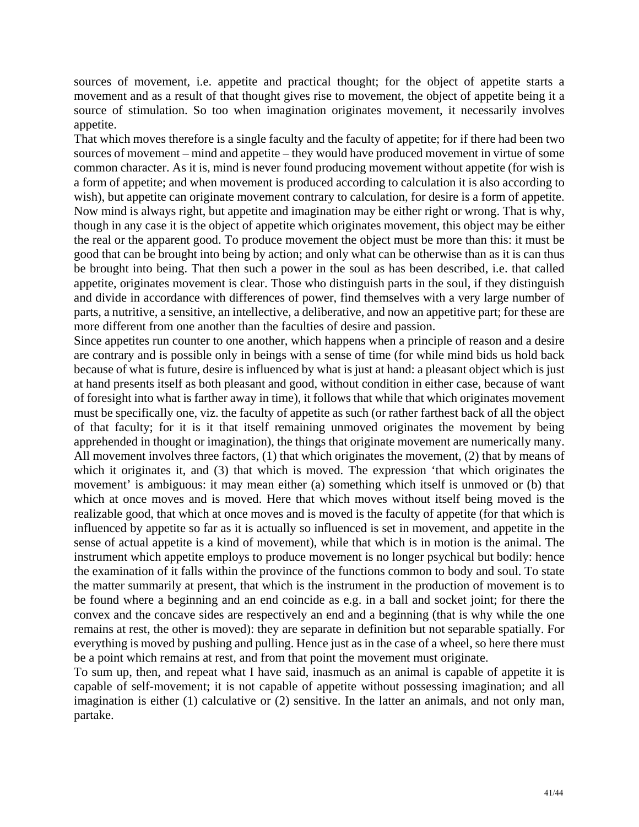sources of movement, i.e. appetite and practical thought; for the object of appetite starts a movement and as a result of that thought gives rise to movement, the object of appetite being it a source of stimulation. So too when imagination originates movement, it necessarily involves appetite.

a form of appetite; and when movement is produced according to calculation it is also according to That which moves therefore is a single faculty and the faculty of appetite; for if there had been two sources of movement – mind and appetite – they would have produced movement in virtue of some common character. As it is, mind is never found producing movement without appetite (for wish is wish), but appetite can originate movement contrary to calculation, for desire is a form of appetite. Now mind is always right, but appetite and imagination may be either right or wrong. That is why, though in any case it is the object of appetite which originates movement, this object may be either the real or the apparent good. To produce movement the object must be more than this: it must be good that can be brought into being by action; and only what can be otherwise than as it is can thus be brought into being. That then such a power in the soul as has been described, i.e. that called appetite, originates movement is clear. Those who distinguish parts in the soul, if they distinguish and divide in accordance with differences of power, find themselves with a very large number of parts, a nutritive, a sensitive, an intellective, a deliberative, and now an appetitive part; for these are more different from one another than the faculties of desire and passion.

apprehended in thought or imagination), the things that originate movement are numerically many. All movement involves three factors,  $(1)$  that which originates the movement,  $(2)$  that by means of which it originates it, and (3) that which is moved. The expression 'that which originates the movement' is ambiguous: it may mean either (a) something which itself is unmoved or (b) that sense of actual appetite is a kind of movement), while that which is in motion is the animal. The Since appetites run counter to one another, which happens when a principle of reason and a desire are contrary and is possible only in beings with a sense of time (for while mind bids us hold back because of what is future, desire is influenced by what is just at hand: a pleasant object which is just at hand presents itself as both pleasant and good, without condition in either case, because of want of foresight into what is farther away in time), it follows that while that which originates movement must be specifically one, viz. the faculty of appetite as such (or rather farthest back of all the object of that faculty; for it is it that itself remaining unmoved originates the movement by being which at once moves and is moved. Here that which moves without itself being moved is the realizable good, that which at once moves and is moved is the faculty of appetite (for that which is influenced by appetite so far as it is actually so influenced is set in movement, and appetite in the instrument which appetite employs to produce movement is no longer psychical but bodily: hence the examination of it falls within the province of the functions common to body and soul. To state the matter summarily at present, that which is the instrument in the production of movement is to be found where a beginning and an end coincide as e.g. in a ball and socket joint; for there the convex and the concave sides are respectively an end and a beginning (that is why while the one remains at rest, the other is moved): they are separate in definition but not separable spatially. For everything is moved by pushing and pulling. Hence just as in the case of a wheel, so here there must be a point which remains at rest, and from that point the movement must originate.

To sum up, then, and repeat what I have said, inasmuch as an animal is capable of appetite it is capable of self-movement; it is not capable of appetite without possessing imagination; and all imagination is either (1) calculative or (2) sensitive. In the latter an animals, and not only man, partake.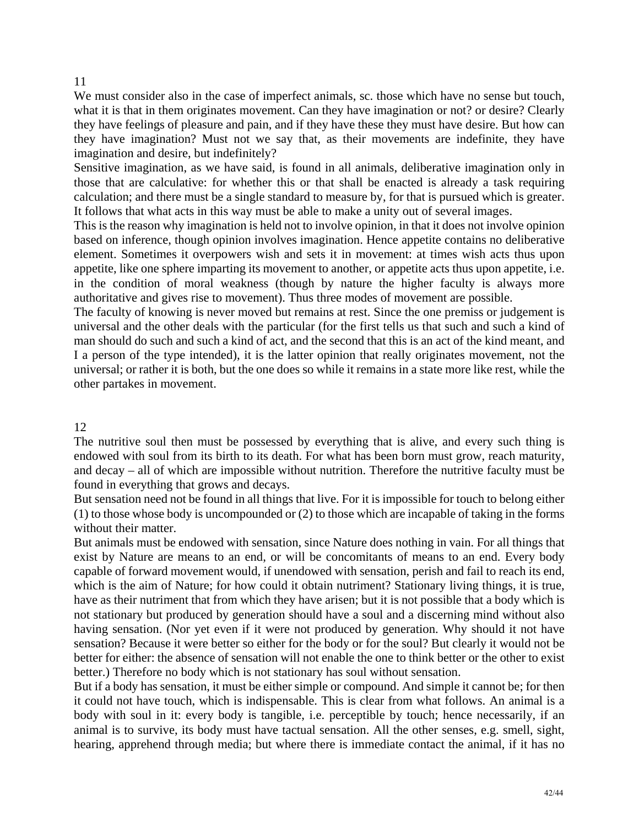### 11

We must consider also in the case of imperfect animals, sc. those which have no sense but touch, what it is that in them originates movement. Can they have imagination or not? or desire? Clearly they have feelings of pleasure and pain, and if they have these they must have desire. But how can they have imagination? Must not we say that, as their movements are indefinite, they have imagination and desire, but indefinitely?

Sensitive imagination, as we have said, is found in all animals, deliberative imagination only in those that are calculative: for whether this or that shall be enacted is already a task requiring calculation; and there must be a single standard to measure by, for that is pursued which is greater. It follows that what acts in this way must be able to make a unity out of several images.

This is the reason why imagination is held not to involve opinion, in that it does not involve opinion based on inference, though opinion involves imagination. Hence appetite contains no deliberative element. Sometimes it overpowers wish and sets it in movement: at times wish acts thus upon appetite, like one sphere imparting its movement to another, or appetite acts thus upon appetite, i.e. in the condition of moral weakness (though by nature the higher faculty is always more authoritative and gives rise to movement). Thus three modes of movement are possible.

man should do such and such a kind of act, and the second that this is an act of the kind meant, and The faculty of knowing is never moved but remains at rest. Since the one premiss or judgement is universal and the other deals with the particular (for the first tells us that such and such a kind of I a person of the type intended), it is the latter opinion that really originates movement, not the universal; or rather it is both, but the one does so while it remains in a state more like rest, while the other partakes in movement.

# 12

The nutritive soul then must be possessed by everything that is alive, and every such thing is endowed with soul from its birth to its death. For what has been born must grow, reach maturity, and decay – all of which are impossible without nutrition. Therefore the nutritive faculty must be found in everything that grows and decays.

But sensation need not be found in all things that live. For it is impossible for touch to belong either (1) to those whose body is uncompounded or (2) to those which are incapable of taking in the forms without their matter.

capable of forward movement would, if unendowed with sensation, perish and fail to reach its end, having sensation. (Nor yet even if it were not produced by generation. Why should it not have sensation? Because it were better so either for the body or for the soul? But clearly it would not be better for either: the absence of sensation will not enable the one to think better or the other to exist better.) Therefore no body which is not stationary has soul without sensation. But animals must be endowed with sensation, since Nature does nothing in vain. For all things that exist by Nature are means to an end, or will be concomitants of means to an end. Every body which is the aim of Nature; for how could it obtain nutriment? Stationary living things, it is true, have as their nutriment that from which they have arisen; but it is not possible that a body which is not stationary but produced by generation should have a soul and a discerning mind without also

hearing, apprehend through media; but where there is immediate contact the animal, if it has no But if a body has sensation, it must be either simple or compound. And simple it cannot be; for then it could not have touch, which is indispensable. This is clear from what follows. An animal is a body with soul in it: every body is tangible, i.e. perceptible by touch; hence necessarily, if an animal is to survive, its body must have tactual sensation. All the other senses, e.g. smell, sight,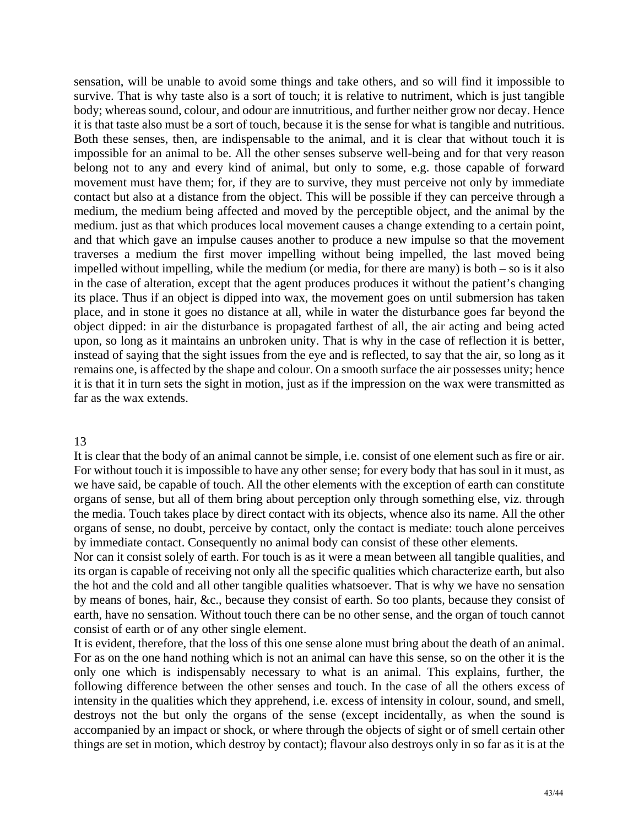sensation, will be unable to avoid some things and take others, and so will find it impossible to survive. That is why taste also is a sort of touch; it is relative to nutriment, which is just tangible body; whereas sound, colour, and odour are innutritious, and further neither grow nor decay. Hence it is that taste also must be a sort of touch, because it is the sense for what is tangible and nutritious. medium, the medium being affected and moved by the perceptible object, and the animal by the its place. Thus if an object is dipped into wax, the movement goes on until submersion has taken place, and in stone it goes no distance at all, while in water the disturbance goes far beyond the object dipped: in air the disturbance is propagated farthest of all, the air acting and being acted upon, so long as it maintains an unbroken unity. That is why in the case of reflection it is better, Both these senses, then, are indispensable to the animal, and it is clear that without touch it is impossible for an animal to be. All the other senses subserve well-being and for that very reason belong not to any and every kind of animal, but only to some, e.g. those capable of forward movement must have them; for, if they are to survive, they must perceive not only by immediate contact but also at a distance from the object. This will be possible if they can perceive through a medium. just as that which produces local movement causes a change extending to a certain point, and that which gave an impulse causes another to produce a new impulse so that the movement traverses a medium the first mover impelling without being impelled, the last moved being impelled without impelling, while the medium (or media, for there are many) is both – so is it also in the case of alteration, except that the agent produces produces it without the patient's changing instead of saying that the sight issues from the eye and is reflected, to say that the air, so long as it remains one, is affected by the shape and colour. On a smooth surface the air possesses unity; hence it is that it in turn sets the sight in motion, just as if the impression on the wax were transmitted as far as the wax extends.

# 13

It is clear that the body of an animal cannot be simple, i.e. consist of one element such as fire or air. For without touch it is impossible to have any other sense; for every body that has soul in it must, as we have said, be capable of touch. All the other elements with the exception of earth can constitute organs of sense, but all of them bring about perception only through something else, viz. through the media. Touch takes place by direct contact with its objects, whence also its name. All the other organs of sense, no doubt, perceive by contact, only the contact is mediate: touch alone perceives by immediate contact. Consequently no animal body can consist of these other elements.

the hot and the cold and all other tangible qualities whatsoever. That is why we have no sensation Nor can it consist solely of earth. For touch is as it were a mean between all tangible qualities, and its organ is capable of receiving not only all the specific qualities which characterize earth, but also by means of bones, hair, &c., because they consist of earth. So too plants, because they consist of earth, have no sensation. Without touch there can be no other sense, and the organ of touch cannot consist of earth or of any other single element.

accompanied by an impact or shock, or where through the objects of sight or of smell certain other things are set in motion, which destroy by contact); flavour also destroys only in so far as it is at the It is evident, therefore, that the loss of this one sense alone must bring about the death of an animal. For as on the one hand nothing which is not an animal can have this sense, so on the other it is the only one which is indispensably necessary to what is an animal. This explains, further, the following difference between the other senses and touch. In the case of all the others excess of intensity in the qualities which they apprehend, i.e. excess of intensity in colour, sound, and smell, destroys not the but only the organs of the sense (except incidentally, as when the sound is